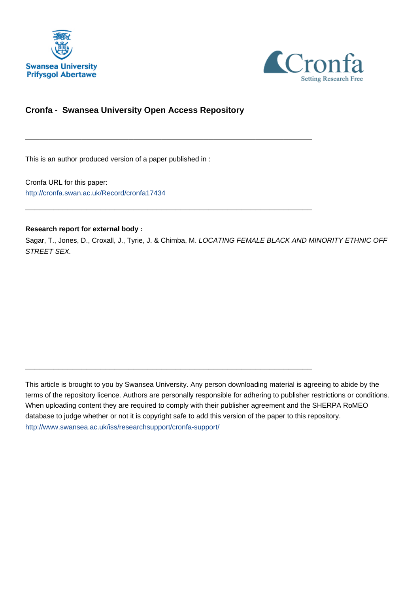



## **Cronfa - Swansea University Open Access Repository**

\_\_\_\_\_\_\_\_\_\_\_\_\_\_\_\_\_\_\_\_\_\_\_\_\_\_\_\_\_\_\_\_\_\_\_\_\_\_\_\_\_\_\_\_\_\_\_\_\_\_\_\_\_\_\_\_\_\_\_\_\_

 $\_$  , and the set of the set of the set of the set of the set of the set of the set of the set of the set of the set of the set of the set of the set of the set of the set of the set of the set of the set of the set of th

\_\_\_\_\_\_\_\_\_\_\_\_\_\_\_\_\_\_\_\_\_\_\_\_\_\_\_\_\_\_\_\_\_\_\_\_\_\_\_\_\_\_\_\_\_\_\_\_\_\_\_\_\_\_\_\_\_\_\_\_\_

This is an author produced version of a paper published in :

Cronfa URL for this paper: <http://cronfa.swan.ac.uk/Record/cronfa17434>

#### **Research report for external body :**

Sagar, T., Jones, D., Croxall, J., Tyrie, J. & Chimba, M. LOCATING FEMALE BLACK AND MINORITY ETHNIC OFF STREET SEX.

This article is brought to you by Swansea University. Any person downloading material is agreeing to abide by the terms of the repository licence. Authors are personally responsible for adhering to publisher restrictions or conditions. When uploading content they are required to comply with their publisher agreement and the SHERPA RoMEO database to judge whether or not it is copyright safe to add this version of the paper to this repository. [http://www.swansea.ac.uk/iss/researchsupport/cronfa-support/](http://www.swansea.ac.uk/iss/researchsupport/cronfa-support/ )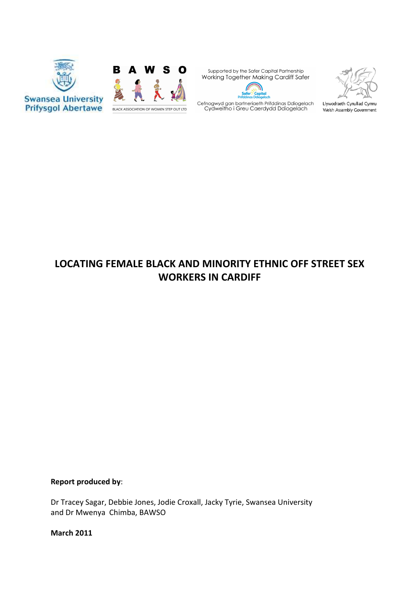



Supported by the Safer Capital Partnership Working Together Making Cardiff Safer  $\theta$ 

V





Llywodraeth Cynulliad Cymru Welsh Assembly Government

# LOCATING FEMALE BLACK AND MINORITY ETHNIC OFF STREET SEX WORKERS IN CARDIFF

## Report produced by:

Dr Tracey Sagar, Debbie Jones, Jodie Croxall, Jacky Tyrie, Swansea University and Dr Mwenya Chimba, BAWSO

March 2011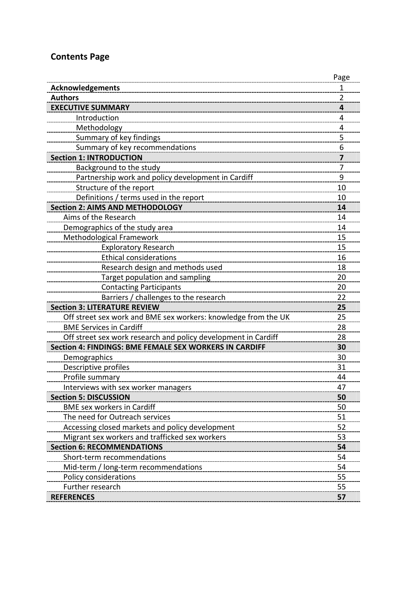# Contents Page

|                                                                | Page |
|----------------------------------------------------------------|------|
| <b>Acknowledgements</b>                                        | 1    |
| <b>Authors</b>                                                 | 2    |
| <b>EXECUTIVE SUMMARY</b>                                       | 4    |
| Introduction                                                   | 4    |
| Methodology                                                    | 4    |
| Summary of key findings                                        | 5    |
| Summary of key recommendations                                 | 6    |
| <b>Section 1: INTRODUCTION</b>                                 | 7    |
| Background to the study                                        | 7    |
| Partnership work and policy development in Cardiff             | 9    |
| Structure of the report                                        | 10   |
| Definitions / terms used in the report                         | 10   |
| <b>Section 2: AIMS AND METHODOLOGY</b>                         | 14   |
| Aims of the Research                                           | 14   |
| Demographics of the study area                                 | 14   |
| Methodological Framework                                       | 15   |
| <b>Exploratory Research</b>                                    | 15   |
| <b>Ethical considerations</b>                                  | 16   |
| Research design and methods used                               | 18   |
| Target population and sampling                                 | 20   |
| <b>Contacting Participants</b>                                 | 20   |
| Barriers / challenges to the research                          | 22   |
| <b>Section 3: LITERATURE REVIEW</b>                            | 25   |
| Off street sex work and BME sex workers: knowledge from the UK | 25   |
| <b>BME Services in Cardiff</b>                                 | 28   |
| Off street sex work research and policy development in Cardiff | 28   |
| Section 4: FINDINGS: BME FEMALE SEX WORKERS IN CARDIFF         | 30   |
| Demographics                                                   | 30   |
| Descriptive profiles                                           | 31   |
| Profile summary                                                | 44   |
| Interviews with sex worker managers                            | 47   |
| <b>Section 5: DISCUSSION</b>                                   | 50   |
| <b>BME sex workers in Cardiff</b>                              | 50   |
| The need for Outreach services                                 | 51   |
| Accessing closed markets and policy development                | 52   |
| Migrant sex workers and trafficked sex workers                 | 53   |
| <b>Section 6: RECOMMENDATIONS</b>                              | 54   |
| Short-term recommendations                                     | 54   |
| Mid-term / long-term recommendations                           | 54   |
| Policy considerations                                          | 55   |
| Further research                                               | 55   |
| <b>REFERENCES</b>                                              | 57   |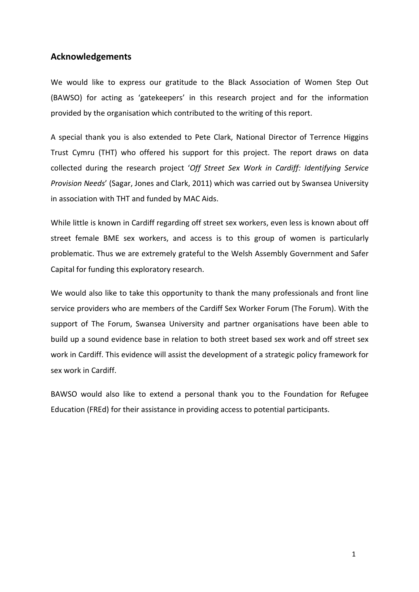## Acknowledgements

We would like to express our gratitude to the Black Association of Women Step Out (BAWSO) for acting as 'gatekeepers' in this research project and for the information provided by the organisation which contributed to the writing of this report.

A special thank you is also extended to Pete Clark, National Director of Terrence Higgins Trust Cymru (THT) who offered his support for this project. The report draws on data collected during the research project 'Off Street Sex Work in Cardiff: Identifying Service Provision Needs' (Sagar, Jones and Clark, 2011) which was carried out by Swansea University in association with THT and funded by MAC Aids.

While little is known in Cardiff regarding off street sex workers, even less is known about off street female BME sex workers, and access is to this group of women is particularly problematic. Thus we are extremely grateful to the Welsh Assembly Government and Safer Capital for funding this exploratory research.

We would also like to take this opportunity to thank the many professionals and front line service providers who are members of the Cardiff Sex Worker Forum (The Forum). With the support of The Forum, Swansea University and partner organisations have been able to build up a sound evidence base in relation to both street based sex work and off street sex work in Cardiff. This evidence will assist the development of a strategic policy framework for sex work in Cardiff.

BAWSO would also like to extend a personal thank you to the Foundation for Refugee Education (FREd) for their assistance in providing access to potential participants.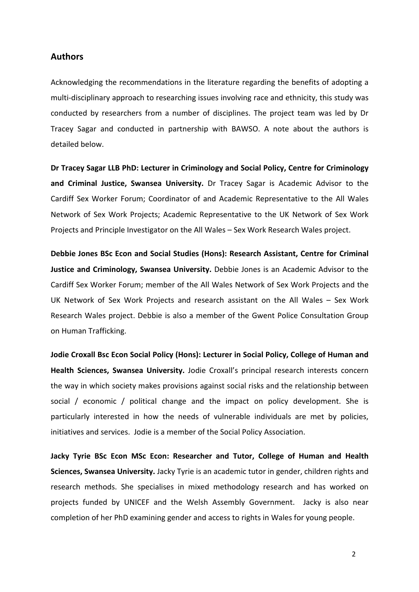### Authors

Acknowledging the recommendations in the literature regarding the benefits of adopting a multi-disciplinary approach to researching issues involving race and ethnicity, this study was conducted by researchers from a number of disciplines. The project team was led by Dr Tracey Sagar and conducted in partnership with BAWSO. A note about the authors is detailed below.

Dr Tracey Sagar LLB PhD: Lecturer in Criminology and Social Policy, Centre for Criminology and Criminal Justice, Swansea University. Dr Tracey Sagar is Academic Advisor to the Cardiff Sex Worker Forum; Coordinator of and Academic Representative to the All Wales Network of Sex Work Projects; Academic Representative to the UK Network of Sex Work Projects and Principle Investigator on the All Wales – Sex Work Research Wales project.

Debbie Jones BSc Econ and Social Studies (Hons): Research Assistant, Centre for Criminal Justice and Criminology, Swansea University. Debbie Jones is an Academic Advisor to the Cardiff Sex Worker Forum; member of the All Wales Network of Sex Work Projects and the UK Network of Sex Work Projects and research assistant on the All Wales – Sex Work Research Wales project. Debbie is also a member of the Gwent Police Consultation Group on Human Trafficking.

Jodie Croxall Bsc Econ Social Policy (Hons): Lecturer in Social Policy, College of Human and Health Sciences, Swansea University. Jodie Croxall's principal research interests concern the way in which society makes provisions against social risks and the relationship between social / economic / political change and the impact on policy development. She is particularly interested in how the needs of vulnerable individuals are met by policies, initiatives and services. Jodie is a member of the Social Policy Association.

Jacky Tyrie BSc Econ MSc Econ: Researcher and Tutor, College of Human and Health Sciences, Swansea University. Jacky Tyrie is an academic tutor in gender, children rights and research methods. She specialises in mixed methodology research and has worked on projects funded by UNICEF and the Welsh Assembly Government. Jacky is also near completion of her PhD examining gender and access to rights in Wales for young people.

2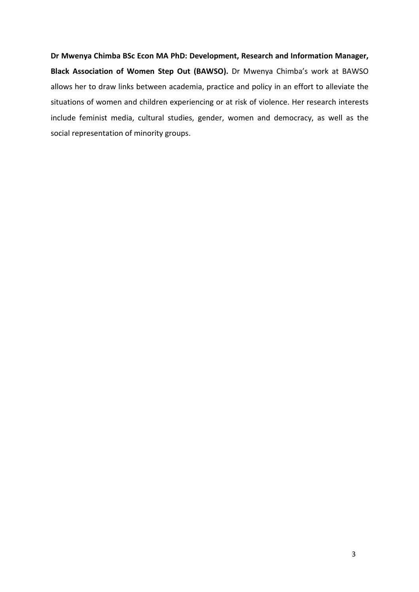Dr Mwenya Chimba BSc Econ MA PhD: Development, Research and Information Manager, Black Association of Women Step Out (BAWSO). Dr Mwenya Chimba's work at BAWSO allows her to draw links between academia, practice and policy in an effort to alleviate the situations of women and children experiencing or at risk of violence. Her research interests include feminist media, cultural studies, gender, women and democracy, as well as the social representation of minority groups.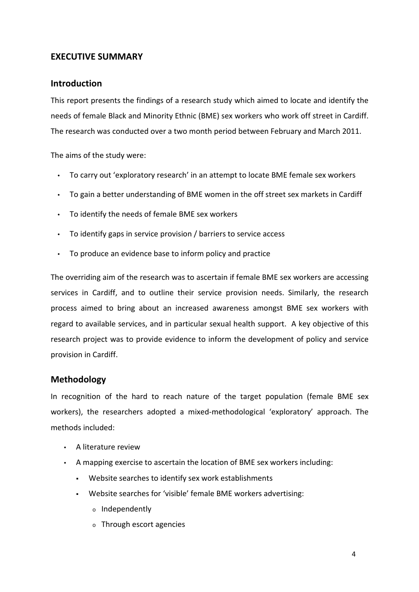## EXECUTIVE SUMMARY

## Introduction

This report presents the findings of a research study which aimed to locate and identify the needs of female Black and Minority Ethnic (BME) sex workers who work off street in Cardiff. The research was conducted over a two month period between February and March 2011.

The aims of the study were:

- To carry out 'exploratory research' in an attempt to locate BME female sex workers
- To gain a better understanding of BME women in the off street sex markets in Cardiff
- To identify the needs of female BME sex workers
- To identify gaps in service provision / barriers to service access
- To produce an evidence base to inform policy and practice

The overriding aim of the research was to ascertain if female BME sex workers are accessing services in Cardiff, and to outline their service provision needs. Similarly, the research process aimed to bring about an increased awareness amongst BME sex workers with regard to available services, and in particular sexual health support. A key objective of this research project was to provide evidence to inform the development of policy and service provision in Cardiff.

## Methodology

In recognition of the hard to reach nature of the target population (female BME sex workers), the researchers adopted a mixed-methodological 'exploratory' approach. The methods included:

- A literature review
- A mapping exercise to ascertain the location of BME sex workers including:
	- Website searches to identify sex work establishments
	- Website searches for 'visible' female BME workers advertising:
		- <sup>o</sup> Independently
		- <sup>o</sup> Through escort agencies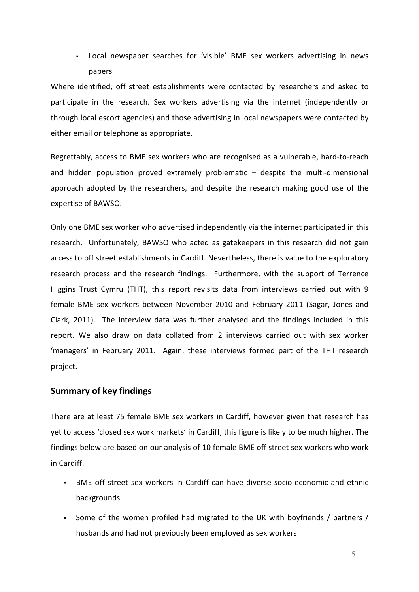Local newspaper searches for 'visible' BME sex workers advertising in news papers

Where identified, off street establishments were contacted by researchers and asked to participate in the research. Sex workers advertising via the internet (independently or through local escort agencies) and those advertising in local newspapers were contacted by either email or telephone as appropriate.

Regrettably, access to BME sex workers who are recognised as a vulnerable, hard-to-reach and hidden population proved extremely problematic – despite the multi-dimensional approach adopted by the researchers, and despite the research making good use of the expertise of BAWSO.

Only one BME sex worker who advertised independently via the internet participated in this research. Unfortunately, BAWSO who acted as gatekeepers in this research did not gain access to off street establishments in Cardiff. Nevertheless, there is value to the exploratory research process and the research findings. Furthermore, with the support of Terrence Higgins Trust Cymru (THT), this report revisits data from interviews carried out with 9 female BME sex workers between November 2010 and February 2011 (Sagar, Jones and Clark, 2011). The interview data was further analysed and the findings included in this report. We also draw on data collated from 2 interviews carried out with sex worker 'managers' in February 2011. Again, these interviews formed part of the THT research project.

## Summary of key findings

There are at least 75 female BME sex workers in Cardiff, however given that research has yet to access 'closed sex work markets' in Cardiff, this figure is likely to be much higher. The findings below are based on our analysis of 10 female BME off street sex workers who work in Cardiff.

- BME off street sex workers in Cardiff can have diverse socio-economic and ethnic backgrounds
- Some of the women profiled had migrated to the UK with boyfriends / partners / husbands and had not previously been employed as sex workers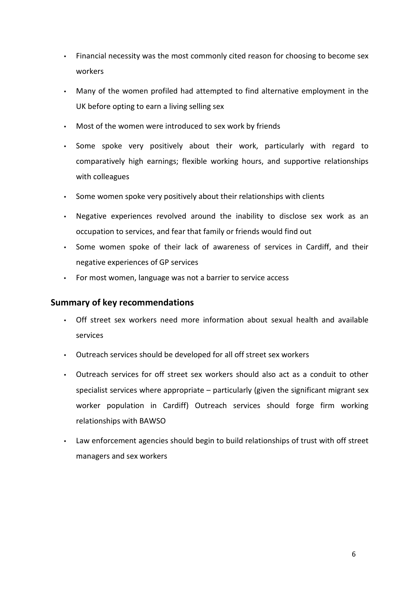- Financial necessity was the most commonly cited reason for choosing to become sex workers
- Many of the women profiled had attempted to find alternative employment in the UK before opting to earn a living selling sex
- Most of the women were introduced to sex work by friends
- Some spoke very positively about their work, particularly with regard to comparatively high earnings; flexible working hours, and supportive relationships with colleagues
- Some women spoke very positively about their relationships with clients
- Negative experiences revolved around the inability to disclose sex work as an occupation to services, and fear that family or friends would find out
- Some women spoke of their lack of awareness of services in Cardiff, and their negative experiences of GP services
- For most women, language was not a barrier to service access

## Summary of key recommendations

- Off street sex workers need more information about sexual health and available services
- Outreach services should be developed for all off street sex workers
- Outreach services for off street sex workers should also act as a conduit to other specialist services where appropriate – particularly (given the significant migrant sex worker population in Cardiff) Outreach services should forge firm working relationships with BAWSO
- Law enforcement agencies should begin to build relationships of trust with off street managers and sex workers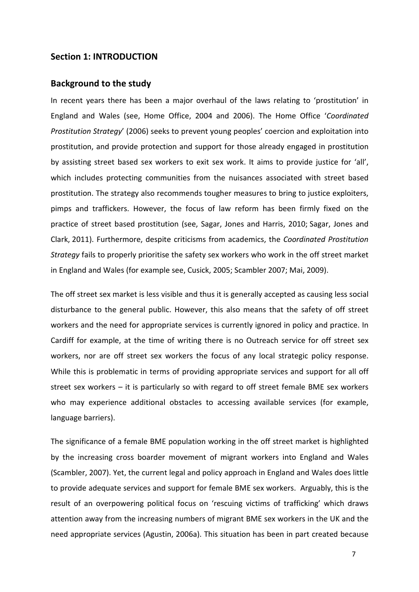### Section 1: INTRODUCTION

### Background to the study

In recent years there has been a major overhaul of the laws relating to 'prostitution' in England and Wales (see, Home Office, 2004 and 2006). The Home Office 'Coordinated Prostitution Strategy' (2006) seeks to prevent young peoples' coercion and exploitation into prostitution, and provide protection and support for those already engaged in prostitution by assisting street based sex workers to exit sex work. It aims to provide justice for 'all', which includes protecting communities from the nuisances associated with street based prostitution. The strategy also recommends tougher measures to bring to justice exploiters, pimps and traffickers. However, the focus of law reform has been firmly fixed on the practice of street based prostitution (see, Sagar, Jones and Harris, 2010; Sagar, Jones and Clark, 2011). Furthermore, despite criticisms from academics, the Coordinated Prostitution Strategy fails to properly prioritise the safety sex workers who work in the off street market in England and Wales (for example see, Cusick, 2005; Scambler 2007; Mai, 2009).

The off street sex market is less visible and thus it is generally accepted as causing less social disturbance to the general public. However, this also means that the safety of off street workers and the need for appropriate services is currently ignored in policy and practice. In Cardiff for example, at the time of writing there is no Outreach service for off street sex workers, nor are off street sex workers the focus of any local strategic policy response. While this is problematic in terms of providing appropriate services and support for all off street sex workers – it is particularly so with regard to off street female BME sex workers who may experience additional obstacles to accessing available services (for example, language barriers).

The significance of a female BME population working in the off street market is highlighted by the increasing cross boarder movement of migrant workers into England and Wales (Scambler, 2007). Yet, the current legal and policy approach in England and Wales does little to provide adequate services and support for female BME sex workers. Arguably, this is the result of an overpowering political focus on 'rescuing victims of trafficking' which draws attention away from the increasing numbers of migrant BME sex workers in the UK and the need appropriate services (Agustin, 2006a). This situation has been in part created because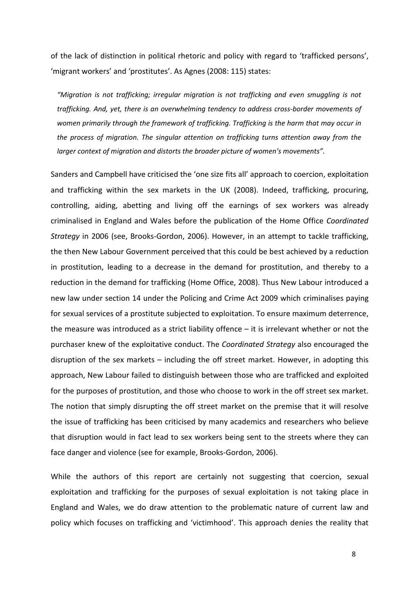of the lack of distinction in political rhetoric and policy with regard to 'trafficked persons', 'migrant workers' and 'prostitutes'. As Agnes (2008: 115) states:

"Migration is not trafficking; irregular migration is not trafficking and even smuggling is not trafficking. And, yet, there is an overwhelming tendency to address cross-border movements of women primarily through the framework of trafficking. Trafficking is the harm that may occur in the process of migration. The singular attention on trafficking turns attention away from the larger context of migration and distorts the broader picture of women's movements".

Sanders and Campbell have criticised the 'one size fits all' approach to coercion, exploitation and trafficking within the sex markets in the UK (2008). Indeed, trafficking, procuring, controlling, aiding, abetting and living off the earnings of sex workers was already criminalised in England and Wales before the publication of the Home Office Coordinated Strategy in 2006 (see, Brooks-Gordon, 2006). However, in an attempt to tackle trafficking, the then New Labour Government perceived that this could be best achieved by a reduction in prostitution, leading to a decrease in the demand for prostitution, and thereby to a reduction in the demand for trafficking (Home Office, 2008). Thus New Labour introduced a new law under section 14 under the Policing and Crime Act 2009 which criminalises paying for sexual services of a prostitute subjected to exploitation. To ensure maximum deterrence, the measure was introduced as a strict liability offence – it is irrelevant whether or not the purchaser knew of the exploitative conduct. The Coordinated Strategy also encouraged the disruption of the sex markets – including the off street market. However, in adopting this approach, New Labour failed to distinguish between those who are trafficked and exploited for the purposes of prostitution, and those who choose to work in the off street sex market. The notion that simply disrupting the off street market on the premise that it will resolve the issue of trafficking has been criticised by many academics and researchers who believe that disruption would in fact lead to sex workers being sent to the streets where they can face danger and violence (see for example, Brooks-Gordon, 2006).

While the authors of this report are certainly not suggesting that coercion, sexual exploitation and trafficking for the purposes of sexual exploitation is not taking place in England and Wales, we do draw attention to the problematic nature of current law and policy which focuses on trafficking and 'victimhood'. This approach denies the reality that

8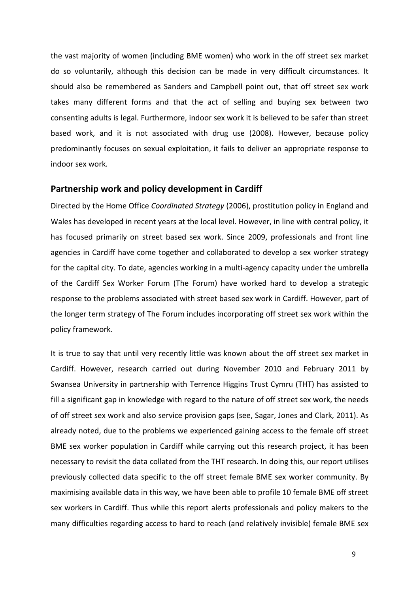the vast majority of women (including BME women) who work in the off street sex market do so voluntarily, although this decision can be made in very difficult circumstances. It should also be remembered as Sanders and Campbell point out, that off street sex work takes many different forms and that the act of selling and buying sex between two consenting adults is legal. Furthermore, indoor sex work it is believed to be safer than street based work, and it is not associated with drug use (2008). However, because policy predominantly focuses on sexual exploitation, it fails to deliver an appropriate response to indoor sex work.

### Partnership work and policy development in Cardiff

Directed by the Home Office Coordinated Strategy (2006), prostitution policy in England and Wales has developed in recent years at the local level. However, in line with central policy, it has focused primarily on street based sex work. Since 2009, professionals and front line agencies in Cardiff have come together and collaborated to develop a sex worker strategy for the capital city. To date, agencies working in a multi-agency capacity under the umbrella of the Cardiff Sex Worker Forum (The Forum) have worked hard to develop a strategic response to the problems associated with street based sex work in Cardiff. However, part of the longer term strategy of The Forum includes incorporating off street sex work within the policy framework.

It is true to say that until very recently little was known about the off street sex market in Cardiff. However, research carried out during November 2010 and February 2011 by Swansea University in partnership with Terrence Higgins Trust Cymru (THT) has assisted to fill a significant gap in knowledge with regard to the nature of off street sex work, the needs of off street sex work and also service provision gaps (see, Sagar, Jones and Clark, 2011). As already noted, due to the problems we experienced gaining access to the female off street BME sex worker population in Cardiff while carrying out this research project, it has been necessary to revisit the data collated from the THT research. In doing this, our report utilises previously collected data specific to the off street female BME sex worker community. By maximising available data in this way, we have been able to profile 10 female BME off street sex workers in Cardiff. Thus while this report alerts professionals and policy makers to the many difficulties regarding access to hard to reach (and relatively invisible) female BME sex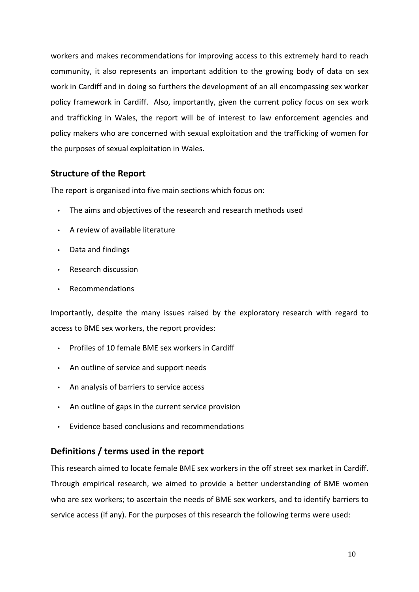workers and makes recommendations for improving access to this extremely hard to reach community, it also represents an important addition to the growing body of data on sex work in Cardiff and in doing so furthers the development of an all encompassing sex worker policy framework in Cardiff. Also, importantly, given the current policy focus on sex work and trafficking in Wales, the report will be of interest to law enforcement agencies and policy makers who are concerned with sexual exploitation and the trafficking of women for the purposes of sexual exploitation in Wales.

## Structure of the Report

The report is organised into five main sections which focus on:

- The aims and objectives of the research and research methods used
- A review of available literature
- Data and findings
- Research discussion
- Recommendations

Importantly, despite the many issues raised by the exploratory research with regard to access to BME sex workers, the report provides:

- Profiles of 10 female BME sex workers in Cardiff
- An outline of service and support needs
- An analysis of barriers to service access
- An outline of gaps in the current service provision
- Evidence based conclusions and recommendations

## Definitions / terms used in the report

This research aimed to locate female BME sex workers in the off street sex market in Cardiff. Through empirical research, we aimed to provide a better understanding of BME women who are sex workers; to ascertain the needs of BME sex workers, and to identify barriers to service access (if any). For the purposes of this research the following terms were used: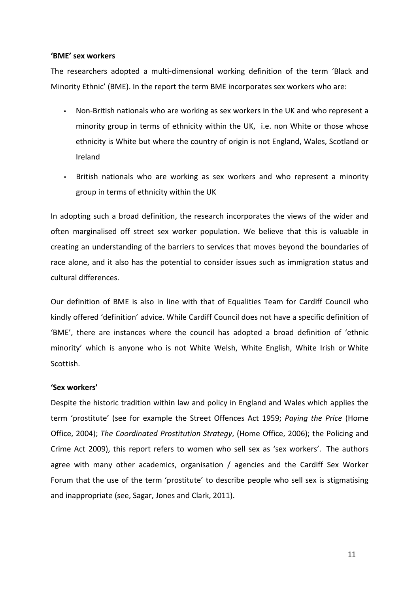#### 'BME' sex workers

The researchers adopted a multi-dimensional working definition of the term 'Black and Minority Ethnic' (BME). In the report the term BME incorporates sex workers who are:

- Non-British nationals who are working as sex workers in the UK and who represent a minority group in terms of ethnicity within the UK, i.e. non White or those whose ethnicity is White but where the country of origin is not England, Wales, Scotland or Ireland
- British nationals who are working as sex workers and who represent a minority group in terms of ethnicity within the UK

In adopting such a broad definition, the research incorporates the views of the wider and often marginalised off street sex worker population. We believe that this is valuable in creating an understanding of the barriers to services that moves beyond the boundaries of race alone, and it also has the potential to consider issues such as immigration status and cultural differences.

Our definition of BME is also in line with that of Equalities Team for Cardiff Council who kindly offered 'definition' advice. While Cardiff Council does not have a specific definition of 'BME', there are instances where the council has adopted a broad definition of 'ethnic minority' which is anyone who is not White Welsh, White English, White Irish or White Scottish.

#### 'Sex workers'

Despite the historic tradition within law and policy in England and Wales which applies the term 'prostitute' (see for example the Street Offences Act 1959; Paying the Price (Home Office, 2004); The Coordinated Prostitution Strategy, (Home Office, 2006); the Policing and Crime Act 2009), this report refers to women who sell sex as 'sex workers'. The authors agree with many other academics, organisation / agencies and the Cardiff Sex Worker Forum that the use of the term 'prostitute' to describe people who sell sex is stigmatising and inappropriate (see, Sagar, Jones and Clark, 2011).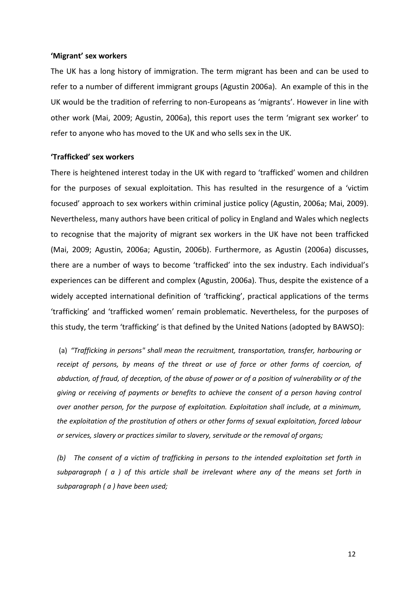#### 'Migrant' sex workers

The UK has a long history of immigration. The term migrant has been and can be used to refer to a number of different immigrant groups (Agustin 2006a). An example of this in the UK would be the tradition of referring to non-Europeans as 'migrants'. However in line with other work (Mai, 2009; Agustin, 2006a), this report uses the term 'migrant sex worker' to refer to anyone who has moved to the UK and who sells sex in the UK.

#### 'Trafficked' sex workers

There is heightened interest today in the UK with regard to 'trafficked' women and children for the purposes of sexual exploitation. This has resulted in the resurgence of a 'victim focused' approach to sex workers within criminal justice policy (Agustin, 2006a; Mai, 2009). Nevertheless, many authors have been critical of policy in England and Wales which neglects to recognise that the majority of migrant sex workers in the UK have not been trafficked (Mai, 2009; Agustin, 2006a; Agustin, 2006b). Furthermore, as Agustin (2006a) discusses, there are a number of ways to become 'trafficked' into the sex industry. Each individual's experiences can be different and complex (Agustin, 2006a). Thus, despite the existence of a widely accepted international definition of 'trafficking', practical applications of the terms 'trafficking' and 'trafficked women' remain problematic. Nevertheless, for the purposes of this study, the term 'trafficking' is that defined by the United Nations (adopted by BAWSO):

 (a) "Trafficking in persons" shall mean the recruitment, transportation, transfer, harbouring or receipt of persons, by means of the threat or use of force or other forms of coercion, of abduction, of fraud, of deception, of the abuse of power or of a position of vulnerability or of the giving or receiving of payments or benefits to achieve the consent of a person having control over another person, for the purpose of exploitation. Exploitation shall include, at a minimum, the exploitation of the prostitution of others or other forms of sexual exploitation, forced labour or services, slavery or practices similar to slavery, servitude or the removal of organs;

(b) The consent of a victim of trafficking in persons to the intended exploitation set forth in subparagraph ( a ) of this article shall be irrelevant where any of the means set forth in subparagraph (a) have been used;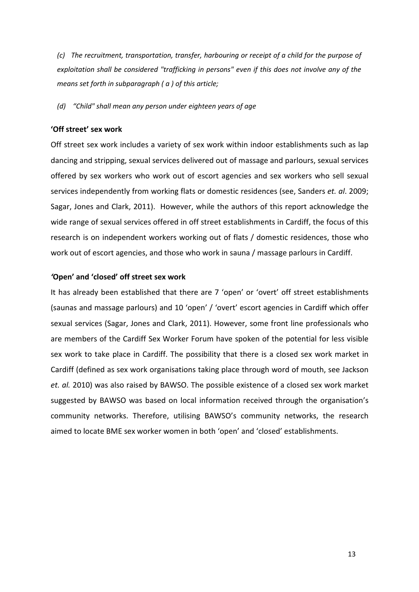(c) The recruitment, transportation, transfer, harbouring or receipt of a child for the purpose of exploitation shall be considered "trafficking in persons" even if this does not involve any of the means set forth in subparagraph (a) of this article;

(d) "Child" shall mean any person under eighteen years of age

#### 'Off street' sex work

Off street sex work includes a variety of sex work within indoor establishments such as lap dancing and stripping, sexual services delivered out of massage and parlours, sexual services offered by sex workers who work out of escort agencies and sex workers who sell sexual services independently from working flats or domestic residences (see, Sanders et. al. 2009; Sagar, Jones and Clark, 2011). However, while the authors of this report acknowledge the wide range of sexual services offered in off street establishments in Cardiff, the focus of this research is on independent workers working out of flats / domestic residences, those who work out of escort agencies, and those who work in sauna / massage parlours in Cardiff.

#### 'Open' and 'closed' off street sex work

It has already been established that there are 7 'open' or 'overt' off street establishments (saunas and massage parlours) and 10 'open' / 'overt' escort agencies in Cardiff which offer sexual services (Sagar, Jones and Clark, 2011). However, some front line professionals who are members of the Cardiff Sex Worker Forum have spoken of the potential for less visible sex work to take place in Cardiff. The possibility that there is a closed sex work market in Cardiff (defined as sex work organisations taking place through word of mouth, see Jackson et. al. 2010) was also raised by BAWSO. The possible existence of a closed sex work market suggested by BAWSO was based on local information received through the organisation's community networks. Therefore, utilising BAWSO's community networks, the research aimed to locate BME sex worker women in both 'open' and 'closed' establishments.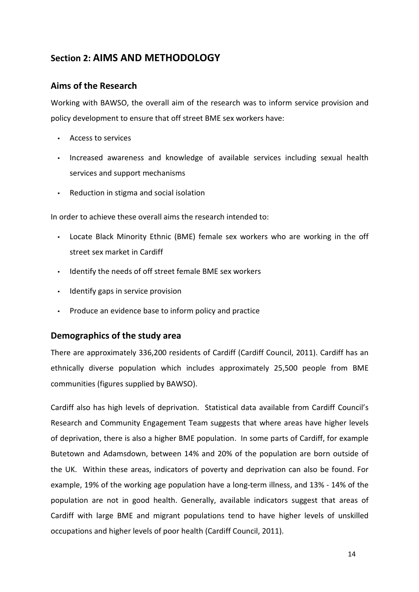## Section 2: AIMS AND METHODOLOGY

## Aims of the Research

Working with BAWSO, the overall aim of the research was to inform service provision and policy development to ensure that off street BME sex workers have:

- Access to services
- Increased awareness and knowledge of available services including sexual health services and support mechanisms
- Reduction in stigma and social isolation

In order to achieve these overall aims the research intended to:

- Locate Black Minority Ethnic (BME) female sex workers who are working in the off street sex market in Cardiff
- Identify the needs of off street female BME sex workers
- Identify gaps in service provision
- Produce an evidence base to inform policy and practice

## Demographics of the study area

There are approximately 336,200 residents of Cardiff (Cardiff Council, 2011). Cardiff has an ethnically diverse population which includes approximately 25,500 people from BME communities (figures supplied by BAWSO).

Cardiff also has high levels of deprivation. Statistical data available from Cardiff Council's Research and Community Engagement Team suggests that where areas have higher levels of deprivation, there is also a higher BME population. In some parts of Cardiff, for example Butetown and Adamsdown, between 14% and 20% of the population are born outside of the UK. Within these areas, indicators of poverty and deprivation can also be found. For example, 19% of the working age population have a long-term illness, and 13% - 14% of the population are not in good health. Generally, available indicators suggest that areas of Cardiff with large BME and migrant populations tend to have higher levels of unskilled occupations and higher levels of poor health (Cardiff Council, 2011).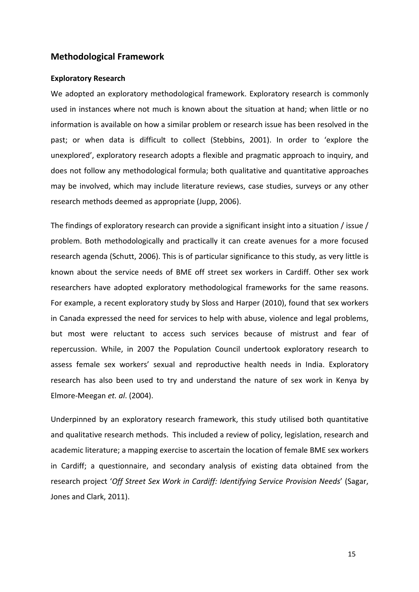## Methodological Framework

#### Exploratory Research

We adopted an exploratory methodological framework. Exploratory research is commonly used in instances where not much is known about the situation at hand; when little or no information is available on how a similar problem or research issue has been resolved in the past; or when data is difficult to collect (Stebbins, 2001). In order to 'explore the unexplored', exploratory research adopts a flexible and pragmatic approach to inquiry, and does not follow any methodological formula; both qualitative and quantitative approaches may be involved, which may include literature reviews, case studies, surveys or any other research methods deemed as appropriate (Jupp, 2006).

The findings of exploratory research can provide a significant insight into a situation / issue / problem. Both methodologically and practically it can create avenues for a more focused research agenda (Schutt, 2006). This is of particular significance to this study, as very little is known about the service needs of BME off street sex workers in Cardiff. Other sex work researchers have adopted exploratory methodological frameworks for the same reasons. For example, a recent exploratory study by Sloss and Harper (2010), found that sex workers in Canada expressed the need for services to help with abuse, violence and legal problems, but most were reluctant to access such services because of mistrust and fear of repercussion. While, in 2007 the Population Council undertook exploratory research to assess female sex workers' sexual and reproductive health needs in India. Exploratory research has also been used to try and understand the nature of sex work in Kenya by Elmore-Meegan et. al. (2004).

Underpinned by an exploratory research framework, this study utilised both quantitative and qualitative research methods. This included a review of policy, legislation, research and academic literature; a mapping exercise to ascertain the location of female BME sex workers in Cardiff; a questionnaire, and secondary analysis of existing data obtained from the research project 'Off Street Sex Work in Cardiff: Identifying Service Provision Needs' (Sagar, Jones and Clark, 2011).

15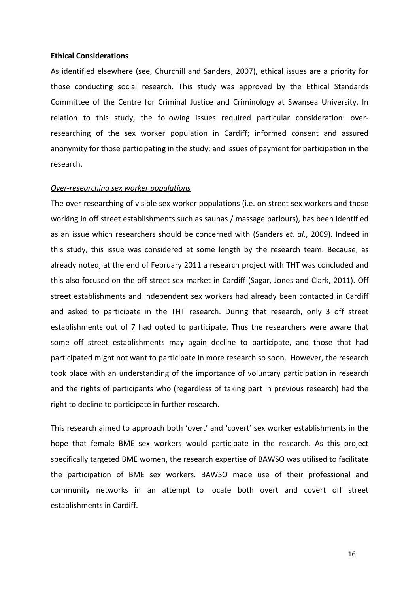#### Ethical Considerations

As identified elsewhere (see, Churchill and Sanders, 2007), ethical issues are a priority for those conducting social research. This study was approved by the Ethical Standards Committee of the Centre for Criminal Justice and Criminology at Swansea University. In relation to this study, the following issues required particular consideration: overresearching of the sex worker population in Cardiff; informed consent and assured anonymity for those participating in the study; and issues of payment for participation in the research.

#### Over-researching sex worker populations

The over-researching of visible sex worker populations (i.e. on street sex workers and those working in off street establishments such as saunas / massage parlours), has been identified as an issue which researchers should be concerned with (Sanders et. al., 2009). Indeed in this study, this issue was considered at some length by the research team. Because, as already noted, at the end of February 2011 a research project with THT was concluded and this also focused on the off street sex market in Cardiff (Sagar, Jones and Clark, 2011). Off street establishments and independent sex workers had already been contacted in Cardiff and asked to participate in the THT research. During that research, only 3 off street establishments out of 7 had opted to participate. Thus the researchers were aware that some off street establishments may again decline to participate, and those that had participated might not want to participate in more research so soon. However, the research took place with an understanding of the importance of voluntary participation in research and the rights of participants who (regardless of taking part in previous research) had the right to decline to participate in further research.

This research aimed to approach both 'overt' and 'covert' sex worker establishments in the hope that female BME sex workers would participate in the research. As this project specifically targeted BME women, the research expertise of BAWSO was utilised to facilitate the participation of BME sex workers. BAWSO made use of their professional and community networks in an attempt to locate both overt and covert off street establishments in Cardiff.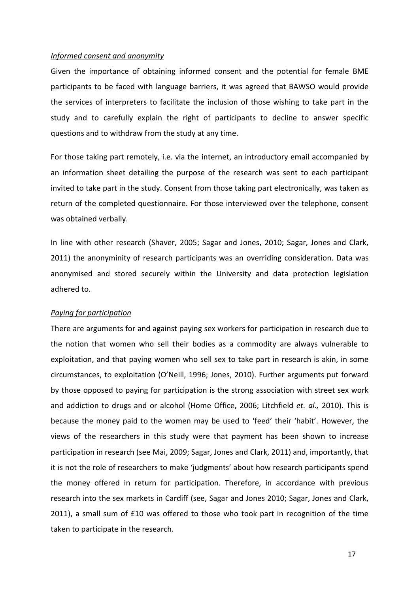#### Informed consent and anonymity

Given the importance of obtaining informed consent and the potential for female BME participants to be faced with language barriers, it was agreed that BAWSO would provide the services of interpreters to facilitate the inclusion of those wishing to take part in the study and to carefully explain the right of participants to decline to answer specific questions and to withdraw from the study at any time.

For those taking part remotely, i.e. via the internet, an introductory email accompanied by an information sheet detailing the purpose of the research was sent to each participant invited to take part in the study. Consent from those taking part electronically, was taken as return of the completed questionnaire. For those interviewed over the telephone, consent was obtained verbally.

In line with other research (Shaver, 2005; Sagar and Jones, 2010; Sagar, Jones and Clark, 2011) the anonyminity of research participants was an overriding consideration. Data was anonymised and stored securely within the University and data protection legislation adhered to.

#### Paying for participation

There are arguments for and against paying sex workers for participation in research due to the notion that women who sell their bodies as a commodity are always vulnerable to exploitation, and that paying women who sell sex to take part in research is akin, in some circumstances, to exploitation (O'Neill, 1996; Jones, 2010). Further arguments put forward by those opposed to paying for participation is the strong association with street sex work and addiction to drugs and or alcohol (Home Office, 2006; Litchfield et. al., 2010). This is because the money paid to the women may be used to 'feed' their 'habit'. However, the views of the researchers in this study were that payment has been shown to increase participation in research (see Mai, 2009; Sagar, Jones and Clark, 2011) and, importantly, that it is not the role of researchers to make 'judgments' about how research participants spend the money offered in return for participation. Therefore, in accordance with previous research into the sex markets in Cardiff (see, Sagar and Jones 2010; Sagar, Jones and Clark, 2011), a small sum of £10 was offered to those who took part in recognition of the time taken to participate in the research.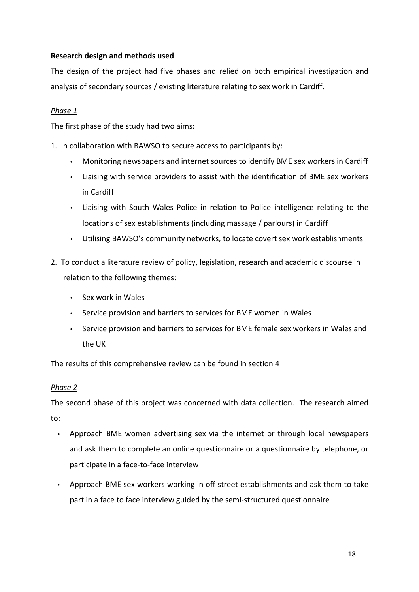## Research design and methods used

The design of the project had five phases and relied on both empirical investigation and analysis of secondary sources / existing literature relating to sex work in Cardiff.

## Phase 1

The first phase of the study had two aims:

- 1. In collaboration with BAWSO to secure access to participants by:
	- Monitoring newspapers and internet sources to identify BME sex workers in Cardiff
	- Liaising with service providers to assist with the identification of BME sex workers in Cardiff
	- Liaising with South Wales Police in relation to Police intelligence relating to the locations of sex establishments (including massage / parlours) in Cardiff
	- Utilising BAWSO's community networks, to locate covert sex work establishments
- 2. To conduct a literature review of policy, legislation, research and academic discourse in relation to the following themes:
	- Sex work in Wales
	- Service provision and barriers to services for BME women in Wales
	- Service provision and barriers to services for BME female sex workers in Wales and the UK

The results of this comprehensive review can be found in section 4

## Phase 2

The second phase of this project was concerned with data collection. The research aimed to:

- Approach BME women advertising sex via the internet or through local newspapers and ask them to complete an online questionnaire or a questionnaire by telephone, or participate in a face-to-face interview
- Approach BME sex workers working in off street establishments and ask them to take part in a face to face interview guided by the semi-structured questionnaire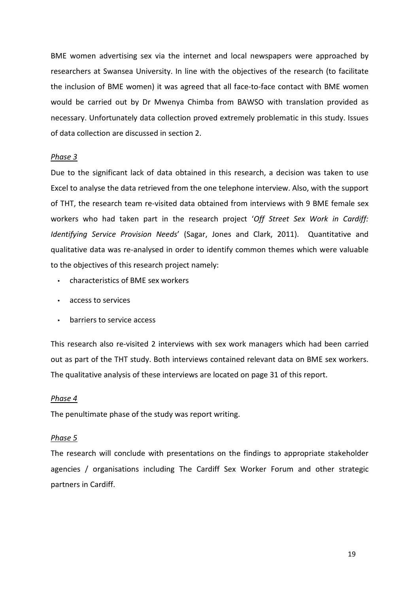BME women advertising sex via the internet and local newspapers were approached by researchers at Swansea University. In line with the objectives of the research (to facilitate the inclusion of BME women) it was agreed that all face-to-face contact with BME women would be carried out by Dr Mwenya Chimba from BAWSO with translation provided as necessary. Unfortunately data collection proved extremely problematic in this study. Issues of data collection are discussed in section 2.

#### Phase 3

Due to the significant lack of data obtained in this research, a decision was taken to use Excel to analyse the data retrieved from the one telephone interview. Also, with the support of THT, the research team re-visited data obtained from interviews with 9 BME female sex workers who had taken part in the research project 'Off Street Sex Work in Cardiff: Identifying Service Provision Needs' (Sagar, Jones and Clark, 2011). Quantitative and qualitative data was re-analysed in order to identify common themes which were valuable to the objectives of this research project namely:

- characteristics of BME sex workers
- access to services
- barriers to service access

This research also re-visited 2 interviews with sex work managers which had been carried out as part of the THT study. Both interviews contained relevant data on BME sex workers. The qualitative analysis of these interviews are located on page 31 of this report.

#### Phase 4

The penultimate phase of the study was report writing.

#### Phase 5

The research will conclude with presentations on the findings to appropriate stakeholder agencies / organisations including The Cardiff Sex Worker Forum and other strategic partners in Cardiff.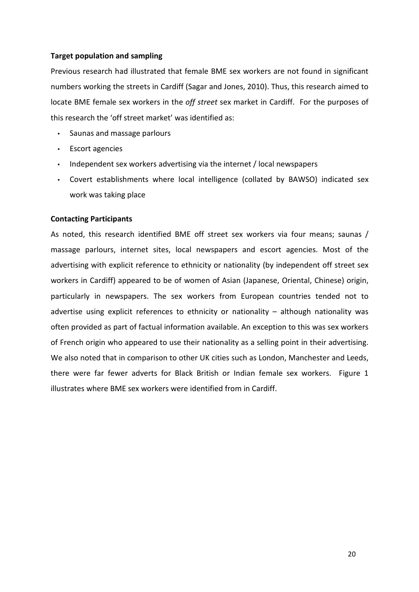### Target population and sampling

Previous research had illustrated that female BME sex workers are not found in significant numbers working the streets in Cardiff (Sagar and Jones, 2010). Thus, this research aimed to locate BME female sex workers in the *off street* sex market in Cardiff. For the purposes of this research the 'off street market' was identified as:

- Saunas and massage parlours
- Escort agencies
- Independent sex workers advertising via the internet / local newspapers
- Covert establishments where local intelligence (collated by BAWSO) indicated sex work was taking place

### Contacting Participants

As noted, this research identified BME off street sex workers via four means; saunas / massage parlours, internet sites, local newspapers and escort agencies. Most of the advertising with explicit reference to ethnicity or nationality (by independent off street sex workers in Cardiff) appeared to be of women of Asian (Japanese, Oriental, Chinese) origin, particularly in newspapers. The sex workers from European countries tended not to advertise using explicit references to ethnicity or nationality – although nationality was often provided as part of factual information available. An exception to this was sex workers of French origin who appeared to use their nationality as a selling point in their advertising. We also noted that in comparison to other UK cities such as London, Manchester and Leeds, there were far fewer adverts for Black British or Indian female sex workers. Figure 1 illustrates where BME sex workers were identified from in Cardiff.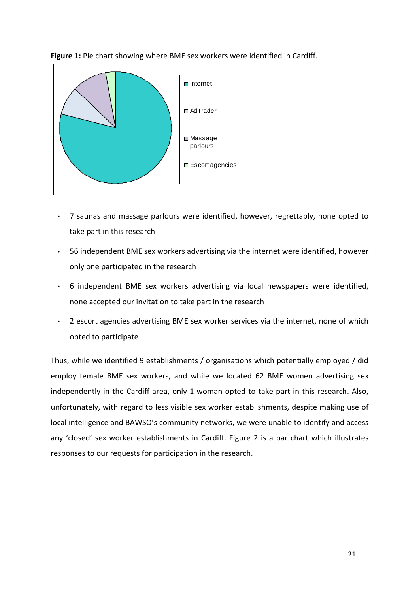

Figure 1: Pie chart showing where BME sex workers were identified in Cardiff.

- 7 saunas and massage parlours were identified, however, regrettably, none opted to take part in this research
- 56 independent BME sex workers advertising via the internet were identified, however only one participated in the research
- 6 independent BME sex workers advertising via local newspapers were identified, none accepted our invitation to take part in the research
- 2 escort agencies advertising BME sex worker services via the internet, none of which opted to participate

Thus, while we identified 9 establishments / organisations which potentially employed / did employ female BME sex workers, and while we located 62 BME women advertising sex independently in the Cardiff area, only 1 woman opted to take part in this research. Also, unfortunately, with regard to less visible sex worker establishments, despite making use of local intelligence and BAWSO's community networks, we were unable to identify and access any 'closed' sex worker establishments in Cardiff. Figure 2 is a bar chart which illustrates responses to our requests for participation in the research.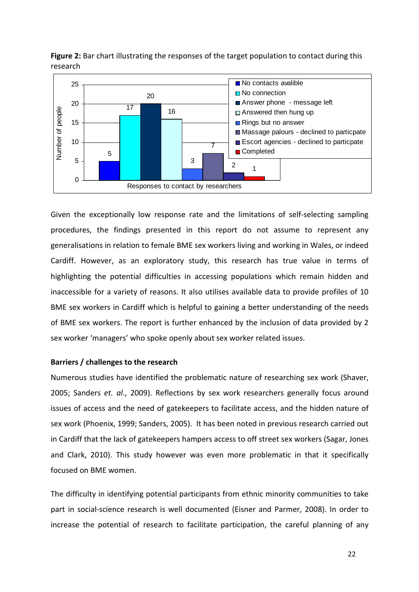

Figure 2: Bar chart illustrating the responses of the target population to contact during this research

Given the exceptionally low response rate and the limitations of self-selecting sampling procedures, the findings presented in this report do not assume to represent any generalisations in relation to female BME sex workers living and working in Wales, or indeed Cardiff. However, as an exploratory study, this research has true value in terms of highlighting the potential difficulties in accessing populations which remain hidden and inaccessible for a variety of reasons. It also utilises available data to provide profiles of 10 BME sex workers in Cardiff which is helpful to gaining a better understanding of the needs of BME sex workers. The report is further enhanced by the inclusion of data provided by 2 sex worker 'managers' who spoke openly about sex worker related issues.

#### Barriers / challenges to the research

Numerous studies have identified the problematic nature of researching sex work (Shaver, 2005; Sanders et. al., 2009). Reflections by sex work researchers generally focus around issues of access and the need of gatekeepers to facilitate access, and the hidden nature of sex work (Phoenix, 1999; Sanders, 2005). It has been noted in previous research carried out in Cardiff that the lack of gatekeepers hampers access to off street sex workers (Sagar, Jones and Clark, 2010). This study however was even more problematic in that it specifically focused on BME women.

The difficulty in identifying potential participants from ethnic minority communities to take part in social-science research is well documented (Eisner and Parmer, 2008). In order to increase the potential of research to facilitate participation, the careful planning of any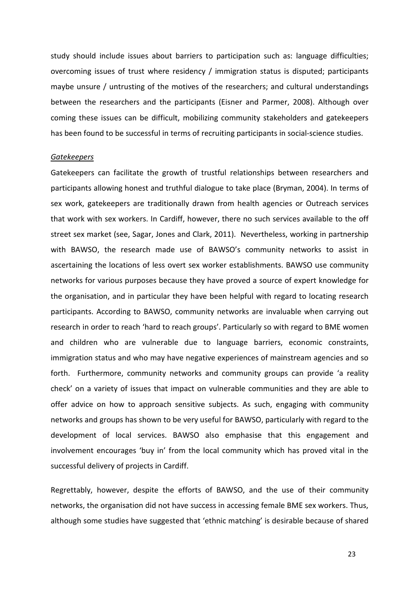study should include issues about barriers to participation such as: language difficulties; overcoming issues of trust where residency / immigration status is disputed; participants maybe unsure / untrusting of the motives of the researchers; and cultural understandings between the researchers and the participants (Eisner and Parmer, 2008). Although over coming these issues can be difficult, mobilizing community stakeholders and gatekeepers has been found to be successful in terms of recruiting participants in social-science studies.

#### **Gatekeepers**

Gatekeepers can facilitate the growth of trustful relationships between researchers and participants allowing honest and truthful dialogue to take place (Bryman, 2004). In terms of sex work, gatekeepers are traditionally drawn from health agencies or Outreach services that work with sex workers. In Cardiff, however, there no such services available to the off street sex market (see, Sagar, Jones and Clark, 2011). Nevertheless, working in partnership with BAWSO, the research made use of BAWSO's community networks to assist in ascertaining the locations of less overt sex worker establishments. BAWSO use community networks for various purposes because they have proved a source of expert knowledge for the organisation, and in particular they have been helpful with regard to locating research participants. According to BAWSO, community networks are invaluable when carrying out research in order to reach 'hard to reach groups'. Particularly so with regard to BME women and children who are vulnerable due to language barriers, economic constraints, immigration status and who may have negative experiences of mainstream agencies and so forth. Furthermore, community networks and community groups can provide 'a reality check' on a variety of issues that impact on vulnerable communities and they are able to offer advice on how to approach sensitive subjects. As such, engaging with community networks and groups has shown to be very useful for BAWSO, particularly with regard to the development of local services. BAWSO also emphasise that this engagement and involvement encourages 'buy in' from the local community which has proved vital in the successful delivery of projects in Cardiff.

Regrettably, however, despite the efforts of BAWSO, and the use of their community networks, the organisation did not have success in accessing female BME sex workers. Thus, although some studies have suggested that 'ethnic matching' is desirable because of shared

23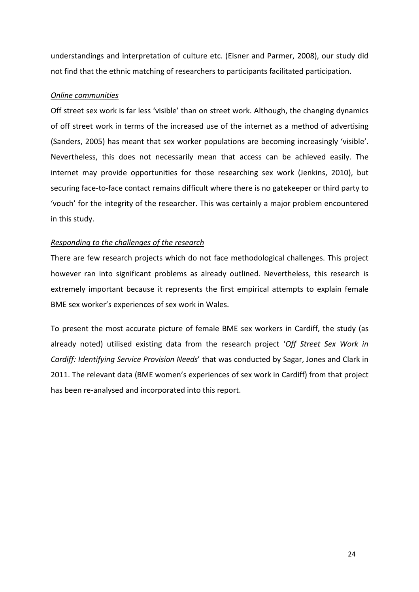understandings and interpretation of culture etc. (Eisner and Parmer, 2008), our study did not find that the ethnic matching of researchers to participants facilitated participation.

### Online communities

Off street sex work is far less 'visible' than on street work. Although, the changing dynamics of off street work in terms of the increased use of the internet as a method of advertising (Sanders, 2005) has meant that sex worker populations are becoming increasingly 'visible'. Nevertheless, this does not necessarily mean that access can be achieved easily. The internet may provide opportunities for those researching sex work (Jenkins, 2010), but securing face-to-face contact remains difficult where there is no gatekeeper or third party to 'vouch' for the integrity of the researcher. This was certainly a major problem encountered in this study.

## Responding to the challenges of the research

There are few research projects which do not face methodological challenges. This project however ran into significant problems as already outlined. Nevertheless, this research is extremely important because it represents the first empirical attempts to explain female BME sex worker's experiences of sex work in Wales.

To present the most accurate picture of female BME sex workers in Cardiff, the study (as already noted) utilised existing data from the research project 'Off Street Sex Work in Cardiff: Identifying Service Provision Needs' that was conducted by Sagar, Jones and Clark in 2011. The relevant data (BME women's experiences of sex work in Cardiff) from that project has been re-analysed and incorporated into this report.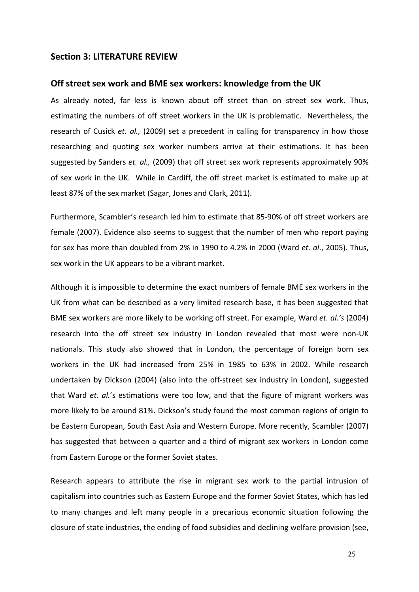### Section 3: LITERATURE REVIEW

#### Off street sex work and BME sex workers: knowledge from the UK

As already noted, far less is known about off street than on street sex work. Thus, estimating the numbers of off street workers in the UK is problematic. Nevertheless, the research of Cusick et. al., (2009) set a precedent in calling for transparency in how those researching and quoting sex worker numbers arrive at their estimations. It has been suggested by Sanders et. al., (2009) that off street sex work represents approximately 90% of sex work in the UK. While in Cardiff, the off street market is estimated to make up at least 87% of the sex market (Sagar, Jones and Clark, 2011).

Furthermore, Scambler's research led him to estimate that 85-90% of off street workers are female (2007). Evidence also seems to suggest that the number of men who report paying for sex has more than doubled from 2% in 1990 to 4.2% in 2000 (Ward et. al., 2005). Thus, sex work in the UK appears to be a vibrant market.

Although it is impossible to determine the exact numbers of female BME sex workers in the UK from what can be described as a very limited research base, it has been suggested that BME sex workers are more likely to be working off street. For example, Ward et. al.'s (2004) research into the off street sex industry in London revealed that most were non-UK nationals. This study also showed that in London, the percentage of foreign born sex workers in the UK had increased from 25% in 1985 to 63% in 2002. While research undertaken by Dickson (2004) (also into the off-street sex industry in London), suggested that Ward et. al.'s estimations were too low, and that the figure of migrant workers was more likely to be around 81%. Dickson's study found the most common regions of origin to be Eastern European, South East Asia and Western Europe. More recently, Scambler (2007) has suggested that between a quarter and a third of migrant sex workers in London come from Eastern Europe or the former Soviet states.

Research appears to attribute the rise in migrant sex work to the partial intrusion of capitalism into countries such as Eastern Europe and the former Soviet States, which has led to many changes and left many people in a precarious economic situation following the closure of state industries, the ending of food subsidies and declining welfare provision (see,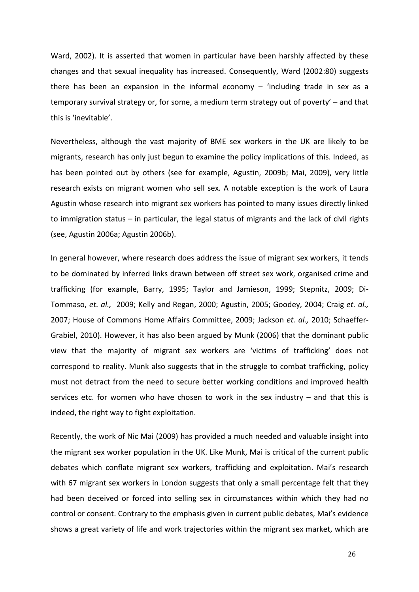Ward, 2002). It is asserted that women in particular have been harshly affected by these changes and that sexual inequality has increased. Consequently, Ward (2002:80) suggests there has been an expansion in the informal economy  $-$  'including trade in sex as a temporary survival strategy or, for some, a medium term strategy out of poverty' – and that this is 'inevitable'.

Nevertheless, although the vast majority of BME sex workers in the UK are likely to be migrants, research has only just begun to examine the policy implications of this. Indeed, as has been pointed out by others (see for example, Agustin, 2009b; Mai, 2009), very little research exists on migrant women who sell sex. A notable exception is the work of Laura Agustin whose research into migrant sex workers has pointed to many issues directly linked to immigration status – in particular, the legal status of migrants and the lack of civil rights (see, Agustin 2006a; Agustin 2006b).

In general however, where research does address the issue of migrant sex workers, it tends to be dominated by inferred links drawn between off street sex work, organised crime and trafficking (for example, Barry, 1995; Taylor and Jamieson, 1999; Stepnitz, 2009; Di-Tommaso, et. al., 2009; Kelly and Regan, 2000; Agustin, 2005; Goodey, 2004; Craig et. al., 2007; House of Commons Home Affairs Committee, 2009; Jackson et. al., 2010; Schaeffer-Grabiel, 2010). However, it has also been argued by Munk (2006) that the dominant public view that the majority of migrant sex workers are 'victims of trafficking' does not correspond to reality. Munk also suggests that in the struggle to combat trafficking, policy must not detract from the need to secure better working conditions and improved health services etc. for women who have chosen to work in the sex industry – and that this is indeed, the right way to fight exploitation.

Recently, the work of Nic Mai (2009) has provided a much needed and valuable insight into the migrant sex worker population in the UK. Like Munk, Mai is critical of the current public debates which conflate migrant sex workers, trafficking and exploitation. Mai's research with 67 migrant sex workers in London suggests that only a small percentage felt that they had been deceived or forced into selling sex in circumstances within which they had no control or consent. Contrary to the emphasis given in current public debates, Mai's evidence shows a great variety of life and work trajectories within the migrant sex market, which are

26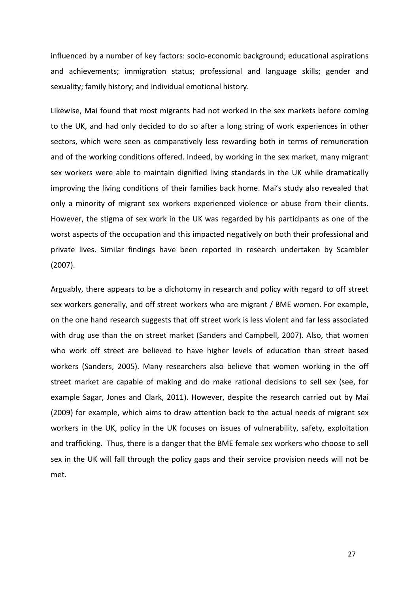influenced by a number of key factors: socio-economic background; educational aspirations and achievements; immigration status; professional and language skills; gender and sexuality; family history; and individual emotional history.

Likewise, Mai found that most migrants had not worked in the sex markets before coming to the UK, and had only decided to do so after a long string of work experiences in other sectors, which were seen as comparatively less rewarding both in terms of remuneration and of the working conditions offered. Indeed, by working in the sex market, many migrant sex workers were able to maintain dignified living standards in the UK while dramatically improving the living conditions of their families back home. Mai's study also revealed that only a minority of migrant sex workers experienced violence or abuse from their clients. However, the stigma of sex work in the UK was regarded by his participants as one of the worst aspects of the occupation and this impacted negatively on both their professional and private lives. Similar findings have been reported in research undertaken by Scambler (2007).

Arguably, there appears to be a dichotomy in research and policy with regard to off street sex workers generally, and off street workers who are migrant / BME women. For example, on the one hand research suggests that off street work is less violent and far less associated with drug use than the on street market (Sanders and Campbell, 2007). Also, that women who work off street are believed to have higher levels of education than street based workers (Sanders, 2005). Many researchers also believe that women working in the off street market are capable of making and do make rational decisions to sell sex (see, for example Sagar, Jones and Clark, 2011). However, despite the research carried out by Mai (2009) for example, which aims to draw attention back to the actual needs of migrant sex workers in the UK, policy in the UK focuses on issues of vulnerability, safety, exploitation and trafficking. Thus, there is a danger that the BME female sex workers who choose to sell sex in the UK will fall through the policy gaps and their service provision needs will not be met.

27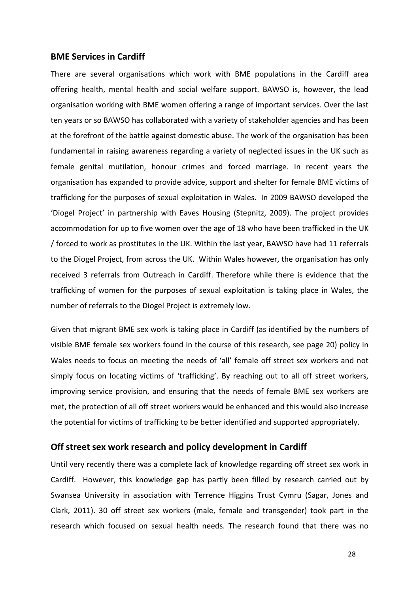#### BME Services in Cardiff

There are several organisations which work with BME populations in the Cardiff area offering health, mental health and social welfare support. BAWSO is, however, the lead organisation working with BME women offering a range of important services. Over the last ten years or so BAWSO has collaborated with a variety of stakeholder agencies and has been at the forefront of the battle against domestic abuse. The work of the organisation has been fundamental in raising awareness regarding a variety of neglected issues in the UK such as female genital mutilation, honour crimes and forced marriage. In recent years the organisation has expanded to provide advice, support and shelter for female BME victims of trafficking for the purposes of sexual exploitation in Wales. In 2009 BAWSO developed the 'Diogel Project' in partnership with Eaves Housing (Stepnitz, 2009). The project provides accommodation for up to five women over the age of 18 who have been trafficked in the UK / forced to work as prostitutes in the UK. Within the last year, BAWSO have had 11 referrals to the Diogel Project, from across the UK. Within Wales however, the organisation has only received 3 referrals from Outreach in Cardiff. Therefore while there is evidence that the trafficking of women for the purposes of sexual exploitation is taking place in Wales, the number of referrals to the Diogel Project is extremely low.

Given that migrant BME sex work is taking place in Cardiff (as identified by the numbers of visible BME female sex workers found in the course of this research, see page 20) policy in Wales needs to focus on meeting the needs of 'all' female off street sex workers and not simply focus on locating victims of 'trafficking'. By reaching out to all off street workers, improving service provision, and ensuring that the needs of female BME sex workers are met, the protection of all off street workers would be enhanced and this would also increase the potential for victims of trafficking to be better identified and supported appropriately.

## Off street sex work research and policy development in Cardiff

Until very recently there was a complete lack of knowledge regarding off street sex work in Cardiff. However, this knowledge gap has partly been filled by research carried out by Swansea University in association with Terrence Higgins Trust Cymru (Sagar, Jones and Clark, 2011). 30 off street sex workers (male, female and transgender) took part in the research which focused on sexual health needs. The research found that there was no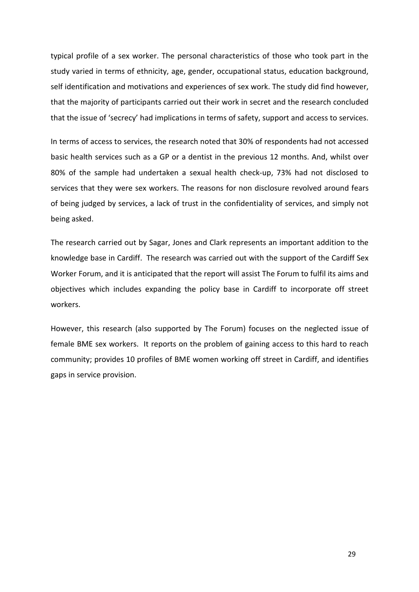typical profile of a sex worker. The personal characteristics of those who took part in the study varied in terms of ethnicity, age, gender, occupational status, education background, self identification and motivations and experiences of sex work. The study did find however, that the majority of participants carried out their work in secret and the research concluded that the issue of 'secrecy' had implications in terms of safety, support and access to services.

In terms of access to services, the research noted that 30% of respondents had not accessed basic health services such as a GP or a dentist in the previous 12 months. And, whilst over 80% of the sample had undertaken a sexual health check-up, 73% had not disclosed to services that they were sex workers. The reasons for non disclosure revolved around fears of being judged by services, a lack of trust in the confidentiality of services, and simply not being asked.

The research carried out by Sagar, Jones and Clark represents an important addition to the knowledge base in Cardiff. The research was carried out with the support of the Cardiff Sex Worker Forum, and it is anticipated that the report will assist The Forum to fulfil its aims and objectives which includes expanding the policy base in Cardiff to incorporate off street workers.

However, this research (also supported by The Forum) focuses on the neglected issue of female BME sex workers. It reports on the problem of gaining access to this hard to reach community; provides 10 profiles of BME women working off street in Cardiff, and identifies gaps in service provision.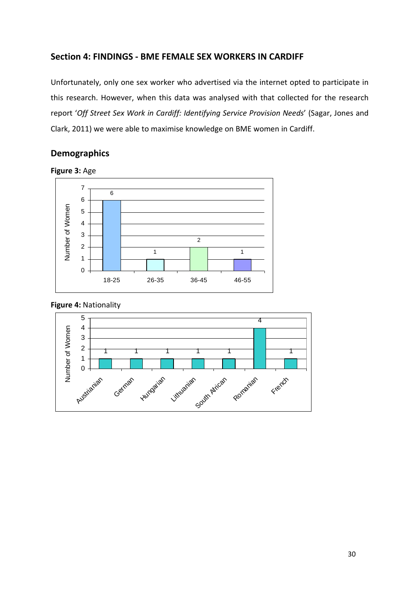## Section 4: FINDINGS - BME FEMALE SEX WORKERS IN CARDIFF

Unfortunately, only one sex worker who advertised via the internet opted to participate in this research. However, when this data was analysed with that collected for the research report 'Off Street Sex Work in Cardiff: Identifying Service Provision Needs' (Sagar, Jones and Clark, 2011) we were able to maximise knowledge on BME women in Cardiff.

## Demographics





## Figure 4: Nationality

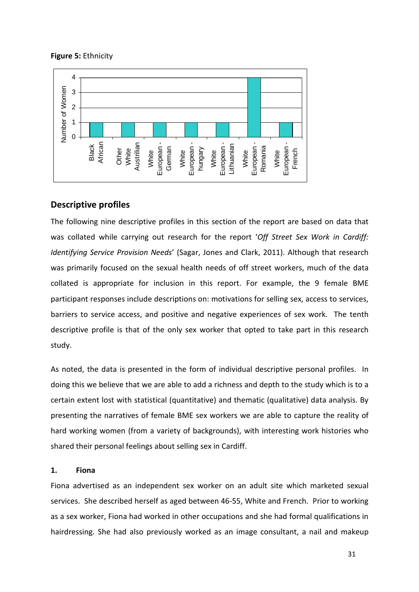### Figure 5: Ethnicity



## Descriptive profiles

The following nine descriptive profiles in this section of the report are based on data that was collated while carrying out research for the report 'Off Street Sex Work in Cardiff: Identifying Service Provision Needs' (Sagar, Jones and Clark, 2011). Although that research was primarily focused on the sexual health needs of off street workers, much of the data collated is appropriate for inclusion in this report. For example, the 9 female BME participant responses include descriptions on: motivations for selling sex, access to services, barriers to service access, and positive and negative experiences of sex work. The tenth descriptive profile is that of the only sex worker that opted to take part in this research study.

As noted, the data is presented in the form of individual descriptive personal profiles. In doing this we believe that we are able to add a richness and depth to the study which is to a certain extent lost with statistical (quantitative) and thematic (qualitative) data analysis. By presenting the narratives of female BME sex workers we are able to capture the reality of hard working women (from a variety of backgrounds), with interesting work histories who shared their personal feelings about selling sex in Cardiff.

## 1. Fiona

Fiona advertised as an independent sex worker on an adult site which marketed sexual services. She described herself as aged between 46-55, White and French. Prior to working as a sex worker, Fiona had worked in other occupations and she had formal qualifications in hairdressing. She had also previously worked as an image consultant, a nail and makeup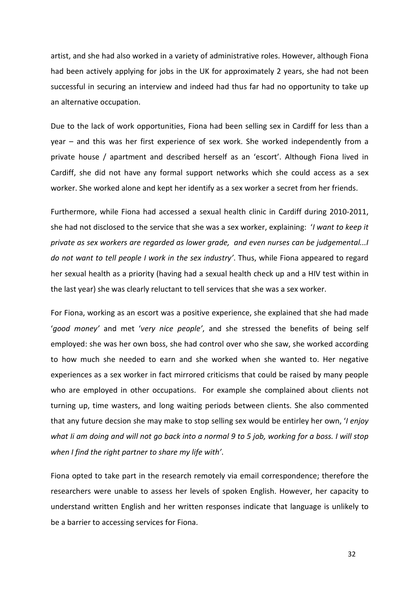artist, and she had also worked in a variety of administrative roles. However, although Fiona had been actively applying for jobs in the UK for approximately 2 years, she had not been successful in securing an interview and indeed had thus far had no opportunity to take up an alternative occupation.

Due to the lack of work opportunities, Fiona had been selling sex in Cardiff for less than a year – and this was her first experience of sex work. She worked independently from a private house / apartment and described herself as an 'escort'. Although Fiona lived in Cardiff, she did not have any formal support networks which she could access as a sex worker. She worked alone and kept her identify as a sex worker a secret from her friends.

Furthermore, while Fiona had accessed a sexual health clinic in Cardiff during 2010-2011, she had not disclosed to the service that she was a sex worker, explaining: 'I want to keep it private as sex workers are regarded as lower grade, and even nurses can be judgemental...I do not want to tell people I work in the sex industry'. Thus, while Fiona appeared to regard her sexual health as a priority (having had a sexual health check up and a HIV test within in the last year) she was clearly reluctant to tell services that she was a sex worker.

For Fiona, working as an escort was a positive experience, she explained that she had made 'good money' and met 'very nice people', and she stressed the benefits of being self employed: she was her own boss, she had control over who she saw, she worked according to how much she needed to earn and she worked when she wanted to. Her negative experiences as a sex worker in fact mirrored criticisms that could be raised by many people who are employed in other occupations. For example she complained about clients not turning up, time wasters, and long waiting periods between clients. She also commented that any future decsion she may make to stop selling sex would be entirley her own, 'I enjoy what Ii am doing and will not go back into a normal 9 to 5 job, working for a boss. I will stop when I find the right partner to share my life with'.

Fiona opted to take part in the research remotely via email correspondence; therefore the researchers were unable to assess her levels of spoken English. However, her capacity to understand written English and her written responses indicate that language is unlikely to be a barrier to accessing services for Fiona.

32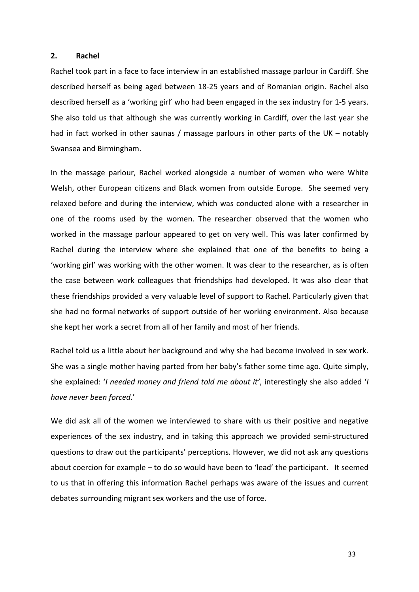#### 2. Rachel

Rachel took part in a face to face interview in an established massage parlour in Cardiff. She described herself as being aged between 18-25 years and of Romanian origin. Rachel also described herself as a 'working girl' who had been engaged in the sex industry for 1-5 years. She also told us that although she was currently working in Cardiff, over the last year she had in fact worked in other saunas / massage parlours in other parts of the UK – notably Swansea and Birmingham.

In the massage parlour, Rachel worked alongside a number of women who were White Welsh, other European citizens and Black women from outside Europe. She seemed very relaxed before and during the interview, which was conducted alone with a researcher in one of the rooms used by the women. The researcher observed that the women who worked in the massage parlour appeared to get on very well. This was later confirmed by Rachel during the interview where she explained that one of the benefits to being a 'working girl' was working with the other women. It was clear to the researcher, as is often the case between work colleagues that friendships had developed. It was also clear that these friendships provided a very valuable level of support to Rachel. Particularly given that she had no formal networks of support outside of her working environment. Also because she kept her work a secret from all of her family and most of her friends.

Rachel told us a little about her background and why she had become involved in sex work. She was a single mother having parted from her baby's father some time ago. Quite simply, she explained: 'I needed money and friend told me about it', interestingly she also added 'I have never been forced.'

We did ask all of the women we interviewed to share with us their positive and negative experiences of the sex industry, and in taking this approach we provided semi-structured questions to draw out the participants' perceptions. However, we did not ask any questions about coercion for example – to do so would have been to 'lead' the participant. It seemed to us that in offering this information Rachel perhaps was aware of the issues and current debates surrounding migrant sex workers and the use of force.

33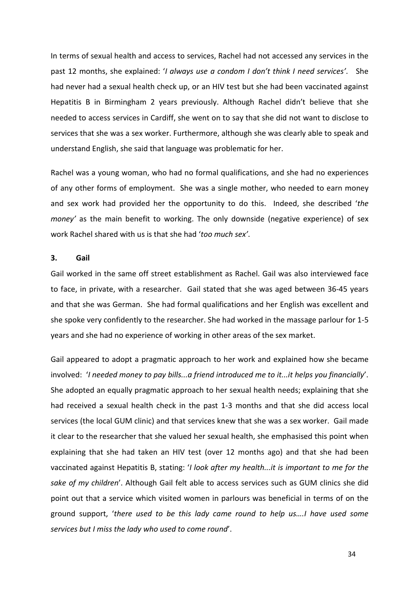In terms of sexual health and access to services, Rachel had not accessed any services in the past 12 months, she explained: 'I always use a condom I don't think I need services'. She had never had a sexual health check up, or an HIV test but she had been vaccinated against Hepatitis B in Birmingham 2 years previously. Although Rachel didn't believe that she needed to access services in Cardiff, she went on to say that she did not want to disclose to services that she was a sex worker. Furthermore, although she was clearly able to speak and understand English, she said that language was problematic for her.

Rachel was a young woman, who had no formal qualifications, and she had no experiences of any other forms of employment. She was a single mother, who needed to earn money and sex work had provided her the opportunity to do this. Indeed, she described 'the money' as the main benefit to working. The only downside (negative experience) of sex work Rachel shared with us is that she had 'too much sex'.

## 3. Gail

Gail worked in the same off street establishment as Rachel. Gail was also interviewed face to face, in private, with a researcher. Gail stated that she was aged between 36-45 years and that she was German. She had formal qualifications and her English was excellent and she spoke very confidently to the researcher. She had worked in the massage parlour for 1-5 years and she had no experience of working in other areas of the sex market.

Gail appeared to adopt a pragmatic approach to her work and explained how she became involved: 'I needed money to pay bills...a friend introduced me to it...it helps you financially'. She adopted an equally pragmatic approach to her sexual health needs; explaining that she had received a sexual health check in the past 1-3 months and that she did access local services (the local GUM clinic) and that services knew that she was a sex worker. Gail made it clear to the researcher that she valued her sexual health, she emphasised this point when explaining that she had taken an HIV test (over 12 months ago) and that she had been vaccinated against Hepatitis B, stating: 'I look after my health...it is important to me for the sake of my children'. Although Gail felt able to access services such as GUM clinics she did point out that a service which visited women in parlours was beneficial in terms of on the ground support, 'there used to be this lady came round to help us….I have used some services but I miss the lady who used to come round'.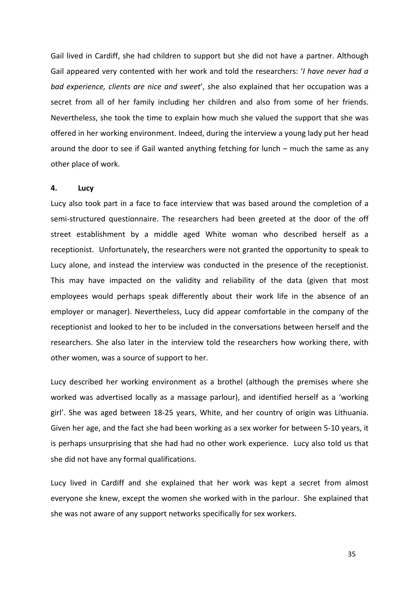Gail lived in Cardiff, she had children to support but she did not have a partner. Although Gail appeared very contented with her work and told the researchers: '*I have never had a* bad experience, clients are nice and sweet', she also explained that her occupation was a secret from all of her family including her children and also from some of her friends. Nevertheless, she took the time to explain how much she valued the support that she was offered in her working environment. Indeed, during the interview a young lady put her head around the door to see if Gail wanted anything fetching for lunch – much the same as any other place of work.

### 4. Lucy

Lucy also took part in a face to face interview that was based around the completion of a semi-structured questionnaire. The researchers had been greeted at the door of the off street establishment by a middle aged White woman who described herself as a receptionist. Unfortunately, the researchers were not granted the opportunity to speak to Lucy alone, and instead the interview was conducted in the presence of the receptionist. This may have impacted on the validity and reliability of the data (given that most employees would perhaps speak differently about their work life in the absence of an employer or manager). Nevertheless, Lucy did appear comfortable in the company of the receptionist and looked to her to be included in the conversations between herself and the researchers. She also later in the interview told the researchers how working there, with other women, was a source of support to her.

Lucy described her working environment as a brothel (although the premises where she worked was advertised locally as a massage parlour), and identified herself as a 'working girl'. She was aged between 18-25 years, White, and her country of origin was Lithuania. Given her age, and the fact she had been working as a sex worker for between 5-10 years, it is perhaps unsurprising that she had had no other work experience. Lucy also told us that she did not have any formal qualifications.

Lucy lived in Cardiff and she explained that her work was kept a secret from almost everyone she knew, except the women she worked with in the parlour. She explained that she was not aware of any support networks specifically for sex workers.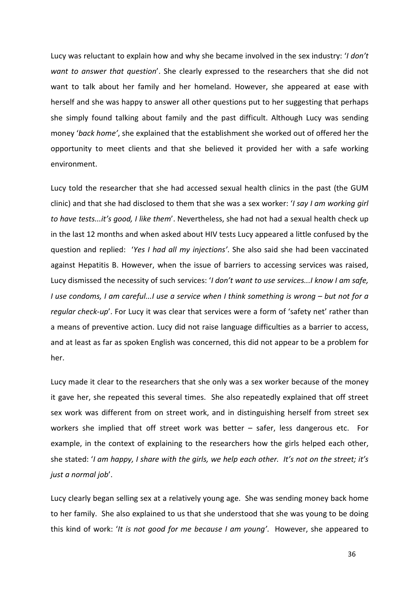Lucy was reluctant to explain how and why she became involved in the sex industry: 'I don't want to answer that question'. She clearly expressed to the researchers that she did not want to talk about her family and her homeland. However, she appeared at ease with herself and she was happy to answer all other questions put to her suggesting that perhaps she simply found talking about family and the past difficult. Although Lucy was sending money 'back home', she explained that the establishment she worked out of offered her the opportunity to meet clients and that she believed it provided her with a safe working environment.

Lucy told the researcher that she had accessed sexual health clinics in the past (the GUM clinic) and that she had disclosed to them that she was a sex worker: 'I say I am working girl to have tests...it's good, I like them'. Nevertheless, she had not had a sexual health check up in the last 12 months and when asked about HIV tests Lucy appeared a little confused by the question and replied: 'Yes I had all my injections'. She also said she had been vaccinated against Hepatitis B. However, when the issue of barriers to accessing services was raised, Lucy dismissed the necessity of such services: 'I don't want to use services...I know I am safe, I use condoms, I am careful...I use a service when I think something is wrong – but not for a regular check-up'. For Lucy it was clear that services were a form of 'safety net' rather than a means of preventive action. Lucy did not raise language difficulties as a barrier to access, and at least as far as spoken English was concerned, this did not appear to be a problem for her.

Lucy made it clear to the researchers that she only was a sex worker because of the money it gave her, she repeated this several times. She also repeatedly explained that off street sex work was different from on street work, and in distinguishing herself from street sex workers she implied that off street work was better – safer, less dangerous etc. For example, in the context of explaining to the researchers how the girls helped each other, she stated: 'I am happy, I share with the girls, we help each other. It's not on the street; it's just a normal job'.

Lucy clearly began selling sex at a relatively young age. She was sending money back home to her family. She also explained to us that she understood that she was young to be doing this kind of work: 'It is not good for me because I am young'. However, she appeared to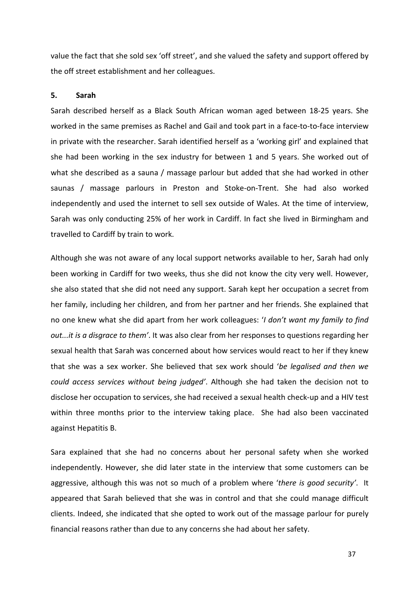value the fact that she sold sex 'off street', and she valued the safety and support offered by the off street establishment and her colleagues.

#### 5. Sarah

Sarah described herself as a Black South African woman aged between 18-25 years. She worked in the same premises as Rachel and Gail and took part in a face-to-to-face interview in private with the researcher. Sarah identified herself as a 'working girl' and explained that she had been working in the sex industry for between 1 and 5 years. She worked out of what she described as a sauna / massage parlour but added that she had worked in other saunas / massage parlours in Preston and Stoke-on-Trent. She had also worked independently and used the internet to sell sex outside of Wales. At the time of interview, Sarah was only conducting 25% of her work in Cardiff. In fact she lived in Birmingham and travelled to Cardiff by train to work.

Although she was not aware of any local support networks available to her, Sarah had only been working in Cardiff for two weeks, thus she did not know the city very well. However, she also stated that she did not need any support. Sarah kept her occupation a secret from her family, including her children, and from her partner and her friends. She explained that no one knew what she did apart from her work colleagues: 'I don't want my family to find out...it is a disgrace to them'. It was also clear from her responses to questions regarding her sexual health that Sarah was concerned about how services would react to her if they knew that she was a sex worker. She believed that sex work should 'be legalised and then we could access services without being judged'. Although she had taken the decision not to disclose her occupation to services, she had received a sexual health check-up and a HIV test within three months prior to the interview taking place. She had also been vaccinated against Hepatitis B.

Sara explained that she had no concerns about her personal safety when she worked independently. However, she did later state in the interview that some customers can be aggressive, although this was not so much of a problem where 'there is good security'. It appeared that Sarah believed that she was in control and that she could manage difficult clients. Indeed, she indicated that she opted to work out of the massage parlour for purely financial reasons rather than due to any concerns she had about her safety.

37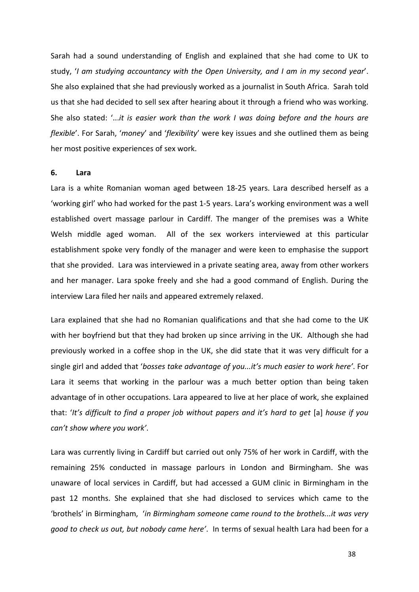Sarah had a sound understanding of English and explained that she had come to UK to study, 'I am studying accountancy with the Open University, and I am in my second year'. She also explained that she had previously worked as a journalist in South Africa. Sarah told us that she had decided to sell sex after hearing about it through a friend who was working. She also stated: '...it is easier work than the work I was doing before and the hours are flexible'. For Sarah, 'money' and 'flexibility' were key issues and she outlined them as being her most positive experiences of sex work.

#### 6. Lara

Lara is a white Romanian woman aged between 18-25 years. Lara described herself as a 'working girl' who had worked for the past 1-5 years. Lara's working environment was a well established overt massage parlour in Cardiff. The manger of the premises was a White Welsh middle aged woman. All of the sex workers interviewed at this particular establishment spoke very fondly of the manager and were keen to emphasise the support that she provided. Lara was interviewed in a private seating area, away from other workers and her manager. Lara spoke freely and she had a good command of English. During the interview Lara filed her nails and appeared extremely relaxed.

Lara explained that she had no Romanian qualifications and that she had come to the UK with her boyfriend but that they had broken up since arriving in the UK. Although she had previously worked in a coffee shop in the UK, she did state that it was very difficult for a single girl and added that 'bosses take advantage of you...it's much easier to work here'. For Lara it seems that working in the parlour was a much better option than being taken advantage of in other occupations. Lara appeared to live at her place of work, she explained that: 'It's difficult to find a proper job without papers and it's hard to get [a] house if you can't show where you work'.

Lara was currently living in Cardiff but carried out only 75% of her work in Cardiff, with the remaining 25% conducted in massage parlours in London and Birmingham. She was unaware of local services in Cardiff, but had accessed a GUM clinic in Birmingham in the past 12 months. She explained that she had disclosed to services which came to the 'brothels' in Birmingham, 'in Birmingham someone came round to the brothels...it was very good to check us out, but nobody came here'. In terms of sexual health Lara had been for a

38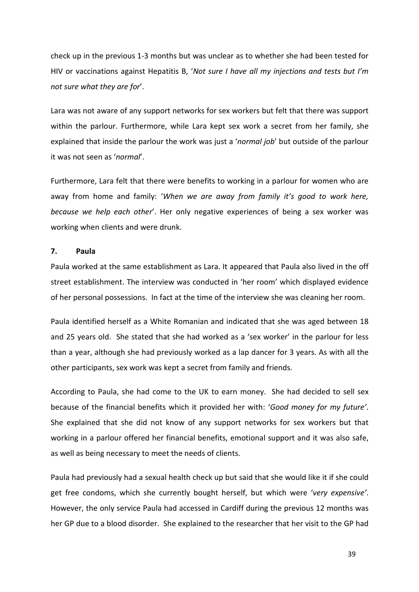check up in the previous 1-3 months but was unclear as to whether she had been tested for HIV or vaccinations against Hepatitis B, 'Not sure I have all my injections and tests but I'm not sure what they are for'.

Lara was not aware of any support networks for sex workers but felt that there was support within the parlour. Furthermore, while Lara kept sex work a secret from her family, she explained that inside the parlour the work was just a 'normal job' but outside of the parlour it was not seen as 'normal'.

Furthermore, Lara felt that there were benefits to working in a parlour for women who are away from home and family: 'When we are away from family it's good to work here, because we help each other'. Her only negative experiences of being a sex worker was working when clients and were drunk.

### 7. Paula

Paula worked at the same establishment as Lara. It appeared that Paula also lived in the off street establishment. The interview was conducted in 'her room' which displayed evidence of her personal possessions. In fact at the time of the interview she was cleaning her room.

Paula identified herself as a White Romanian and indicated that she was aged between 18 and 25 years old. She stated that she had worked as a 'sex worker' in the parlour for less than a year, although she had previously worked as a lap dancer for 3 years. As with all the other participants, sex work was kept a secret from family and friends.

According to Paula, she had come to the UK to earn money. She had decided to sell sex because of the financial benefits which it provided her with: 'Good money for my future'. She explained that she did not know of any support networks for sex workers but that working in a parlour offered her financial benefits, emotional support and it was also safe, as well as being necessary to meet the needs of clients.

Paula had previously had a sexual health check up but said that she would like it if she could get free condoms, which she currently bought herself, but which were 'very expensive'. However, the only service Paula had accessed in Cardiff during the previous 12 months was her GP due to a blood disorder. She explained to the researcher that her visit to the GP had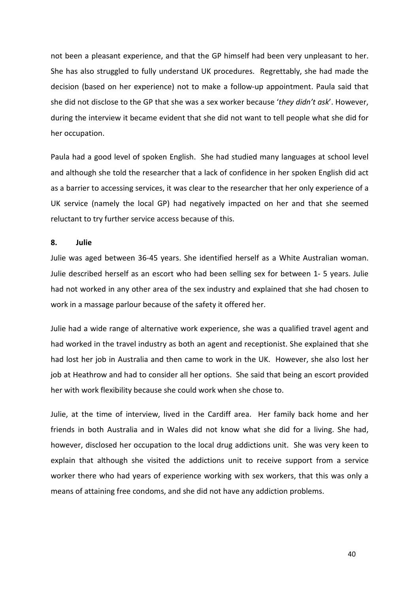not been a pleasant experience, and that the GP himself had been very unpleasant to her. She has also struggled to fully understand UK procedures. Regrettably, she had made the decision (based on her experience) not to make a follow-up appointment. Paula said that she did not disclose to the GP that she was a sex worker because 'they didn't ask'. However, during the interview it became evident that she did not want to tell people what she did for her occupation.

Paula had a good level of spoken English. She had studied many languages at school level and although she told the researcher that a lack of confidence in her spoken English did act as a barrier to accessing services, it was clear to the researcher that her only experience of a UK service (namely the local GP) had negatively impacted on her and that she seemed reluctant to try further service access because of this.

#### 8. Julie

Julie was aged between 36-45 years. She identified herself as a White Australian woman. Julie described herself as an escort who had been selling sex for between 1- 5 years. Julie had not worked in any other area of the sex industry and explained that she had chosen to work in a massage parlour because of the safety it offered her.

Julie had a wide range of alternative work experience, she was a qualified travel agent and had worked in the travel industry as both an agent and receptionist. She explained that she had lost her job in Australia and then came to work in the UK. However, she also lost her job at Heathrow and had to consider all her options. She said that being an escort provided her with work flexibility because she could work when she chose to.

Julie, at the time of interview, lived in the Cardiff area. Her family back home and her friends in both Australia and in Wales did not know what she did for a living. She had, however, disclosed her occupation to the local drug addictions unit. She was very keen to explain that although she visited the addictions unit to receive support from a service worker there who had years of experience working with sex workers, that this was only a means of attaining free condoms, and she did not have any addiction problems.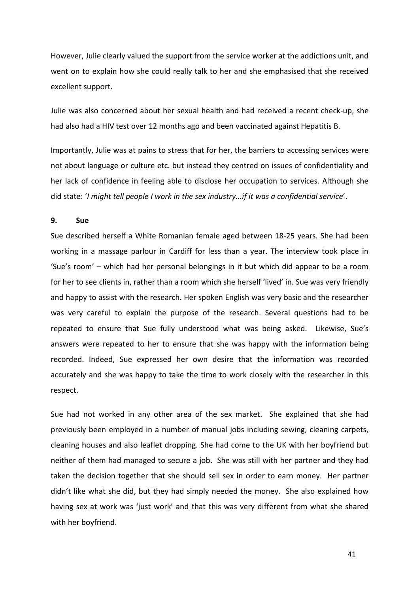However, Julie clearly valued the support from the service worker at the addictions unit, and went on to explain how she could really talk to her and she emphasised that she received excellent support.

Julie was also concerned about her sexual health and had received a recent check-up, she had also had a HIV test over 12 months ago and been vaccinated against Hepatitis B.

Importantly, Julie was at pains to stress that for her, the barriers to accessing services were not about language or culture etc. but instead they centred on issues of confidentiality and her lack of confidence in feeling able to disclose her occupation to services. Although she did state: 'I might tell people I work in the sex industry...if it was a confidential service'.

#### 9. Sue

Sue described herself a White Romanian female aged between 18-25 years. She had been working in a massage parlour in Cardiff for less than a year. The interview took place in 'Sue's room' – which had her personal belongings in it but which did appear to be a room for her to see clients in, rather than a room which she herself 'lived' in. Sue was very friendly and happy to assist with the research. Her spoken English was very basic and the researcher was very careful to explain the purpose of the research. Several questions had to be repeated to ensure that Sue fully understood what was being asked. Likewise, Sue's answers were repeated to her to ensure that she was happy with the information being recorded. Indeed, Sue expressed her own desire that the information was recorded accurately and she was happy to take the time to work closely with the researcher in this respect.

Sue had not worked in any other area of the sex market. She explained that she had previously been employed in a number of manual jobs including sewing, cleaning carpets, cleaning houses and also leaflet dropping. She had come to the UK with her boyfriend but neither of them had managed to secure a job. She was still with her partner and they had taken the decision together that she should sell sex in order to earn money. Her partner didn't like what she did, but they had simply needed the money. She also explained how having sex at work was 'just work' and that this was very different from what she shared with her boyfriend.

41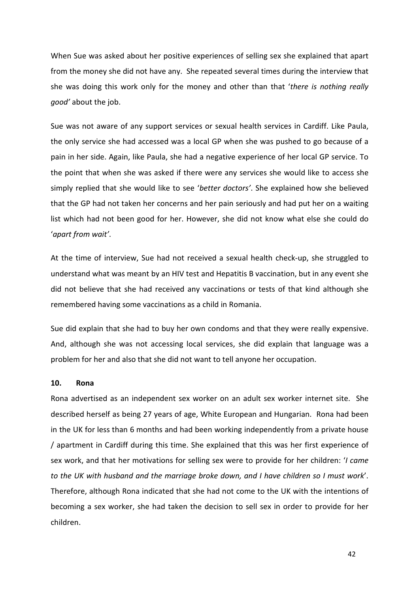When Sue was asked about her positive experiences of selling sex she explained that apart from the money she did not have any. She repeated several times during the interview that she was doing this work only for the money and other than that 'there is nothing really good' about the job.

Sue was not aware of any support services or sexual health services in Cardiff. Like Paula, the only service she had accessed was a local GP when she was pushed to go because of a pain in her side. Again, like Paula, she had a negative experience of her local GP service. To the point that when she was asked if there were any services she would like to access she simply replied that she would like to see 'better doctors'. She explained how she believed that the GP had not taken her concerns and her pain seriously and had put her on a waiting list which had not been good for her. However, she did not know what else she could do 'apart from wait'.

At the time of interview, Sue had not received a sexual health check-up, she struggled to understand what was meant by an HIV test and Hepatitis B vaccination, but in any event she did not believe that she had received any vaccinations or tests of that kind although she remembered having some vaccinations as a child in Romania.

Sue did explain that she had to buy her own condoms and that they were really expensive. And, although she was not accessing local services, she did explain that language was a problem for her and also that she did not want to tell anyone her occupation.

### 10. Rona

Rona advertised as an independent sex worker on an adult sex worker internet site. She described herself as being 27 years of age, White European and Hungarian. Rona had been in the UK for less than 6 months and had been working independently from a private house / apartment in Cardiff during this time. She explained that this was her first experience of sex work, and that her motivations for selling sex were to provide for her children: 'I came to the UK with husband and the marriage broke down, and I have children so I must work'. Therefore, although Rona indicated that she had not come to the UK with the intentions of becoming a sex worker, she had taken the decision to sell sex in order to provide for her children.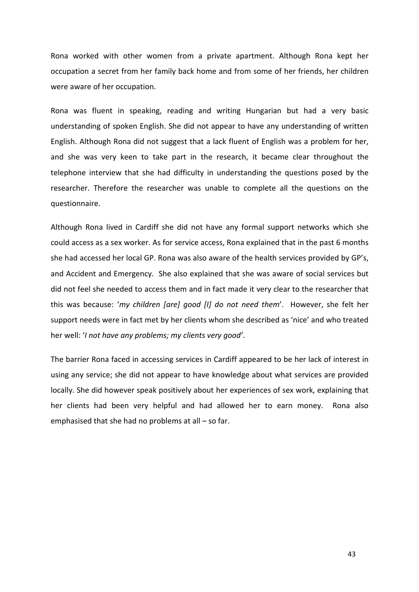Rona worked with other women from a private apartment. Although Rona kept her occupation a secret from her family back home and from some of her friends, her children were aware of her occupation.

Rona was fluent in speaking, reading and writing Hungarian but had a very basic understanding of spoken English. She did not appear to have any understanding of written English. Although Rona did not suggest that a lack fluent of English was a problem for her, and she was very keen to take part in the research, it became clear throughout the telephone interview that she had difficulty in understanding the questions posed by the researcher. Therefore the researcher was unable to complete all the questions on the questionnaire.

Although Rona lived in Cardiff she did not have any formal support networks which she could access as a sex worker. As for service access, Rona explained that in the past 6 months she had accessed her local GP. Rona was also aware of the health services provided by GP's, and Accident and Emergency. She also explained that she was aware of social services but did not feel she needed to access them and in fact made it very clear to the researcher that this was because: 'my children [are] good [I] do not need them'. However, she felt her support needs were in fact met by her clients whom she described as 'nice' and who treated her well: 'I not have any problems; my clients very good'.

The barrier Rona faced in accessing services in Cardiff appeared to be her lack of interest in using any service; she did not appear to have knowledge about what services are provided locally. She did however speak positively about her experiences of sex work, explaining that her clients had been very helpful and had allowed her to earn money. Rona also emphasised that she had no problems at all – so far.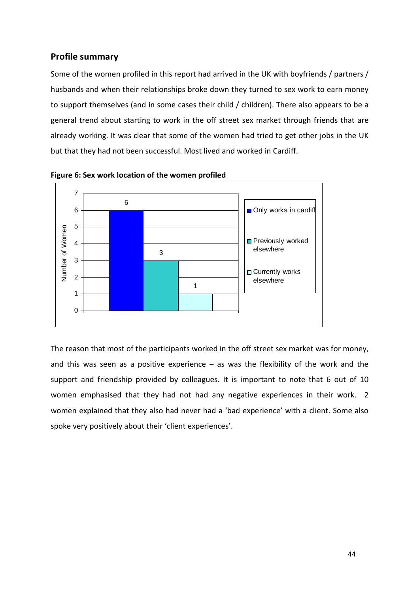## Profile summary

Some of the women profiled in this report had arrived in the UK with boyfriends / partners / husbands and when their relationships broke down they turned to sex work to earn money to support themselves (and in some cases their child / children). There also appears to be a general trend about starting to work in the off street sex market through friends that are already working. It was clear that some of the women had tried to get other jobs in the UK but that they had not been successful. Most lived and worked in Cardiff.





The reason that most of the participants worked in the off street sex market was for money, and this was seen as a positive experience  $-$  as was the flexibility of the work and the support and friendship provided by colleagues. It is important to note that 6 out of 10 women emphasised that they had not had any negative experiences in their work. 2 women explained that they also had never had a 'bad experience' with a client. Some also spoke very positively about their 'client experiences'.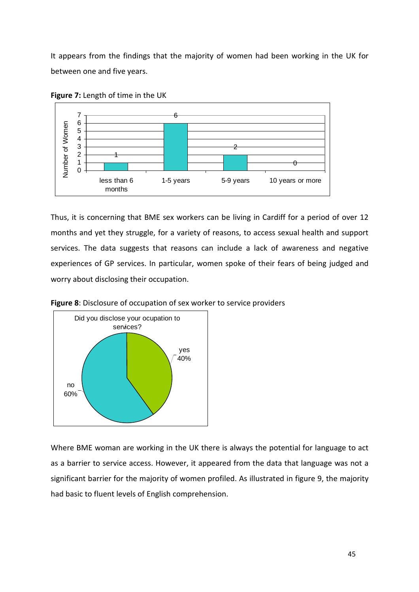It appears from the findings that the majority of women had been working in the UK for between one and five years.



Figure 7: Length of time in the UK

Thus, it is concerning that BME sex workers can be living in Cardiff for a period of over 12 months and yet they struggle, for a variety of reasons, to access sexual health and support services. The data suggests that reasons can include a lack of awareness and negative experiences of GP services. In particular, women spoke of their fears of being judged and worry about disclosing their occupation.



Figure 8: Disclosure of occupation of sex worker to service providers

Where BME woman are working in the UK there is always the potential for language to act as a barrier to service access. However, it appeared from the data that language was not a significant barrier for the majority of women profiled. As illustrated in figure 9, the majority had basic to fluent levels of English comprehension.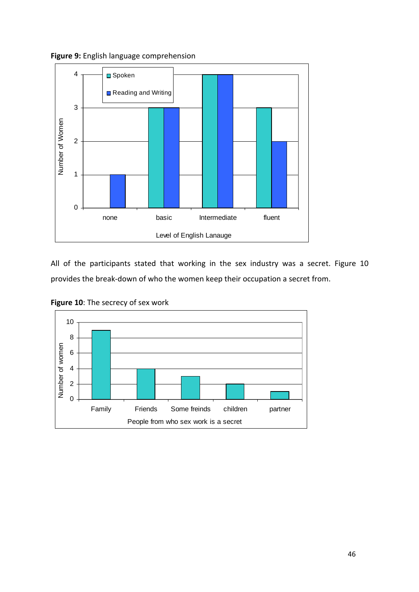



All of the participants stated that working in the sex industry was a secret. Figure 10 provides the break-down of who the women keep their occupation a secret from.



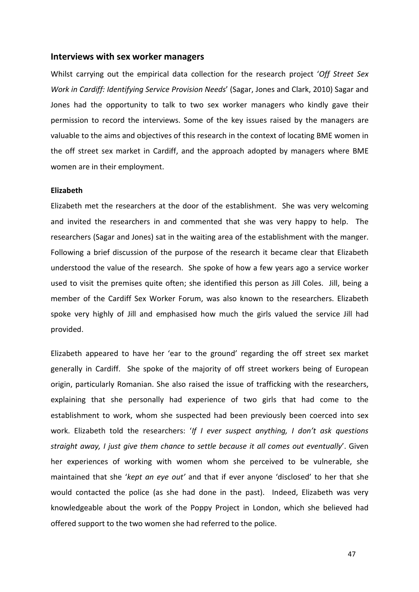#### Interviews with sex worker managers

Whilst carrying out the empirical data collection for the research project 'Off Street Sex Work in Cardiff: Identifying Service Provision Needs' (Sagar, Jones and Clark, 2010) Sagar and Jones had the opportunity to talk to two sex worker managers who kindly gave their permission to record the interviews. Some of the key issues raised by the managers are valuable to the aims and objectives of this research in the context of locating BME women in the off street sex market in Cardiff, and the approach adopted by managers where BME women are in their employment.

#### Elizabeth

Elizabeth met the researchers at the door of the establishment. She was very welcoming and invited the researchers in and commented that she was very happy to help. The researchers (Sagar and Jones) sat in the waiting area of the establishment with the manger. Following a brief discussion of the purpose of the research it became clear that Elizabeth understood the value of the research. She spoke of how a few years ago a service worker used to visit the premises quite often; she identified this person as Jill Coles. Jill, being a member of the Cardiff Sex Worker Forum, was also known to the researchers. Elizabeth spoke very highly of Jill and emphasised how much the girls valued the service Jill had provided.

Elizabeth appeared to have her 'ear to the ground' regarding the off street sex market generally in Cardiff. She spoke of the majority of off street workers being of European origin, particularly Romanian. She also raised the issue of trafficking with the researchers, explaining that she personally had experience of two girls that had come to the establishment to work, whom she suspected had been previously been coerced into sex work. Elizabeth told the researchers: 'If I ever suspect anything, I don't ask questions straight away, I just give them chance to settle because it all comes out eventually'. Given her experiences of working with women whom she perceived to be vulnerable, she maintained that she 'kept an eye out' and that if ever anyone 'disclosed' to her that she would contacted the police (as she had done in the past). Indeed, Elizabeth was very knowledgeable about the work of the Poppy Project in London, which she believed had offered support to the two women she had referred to the police.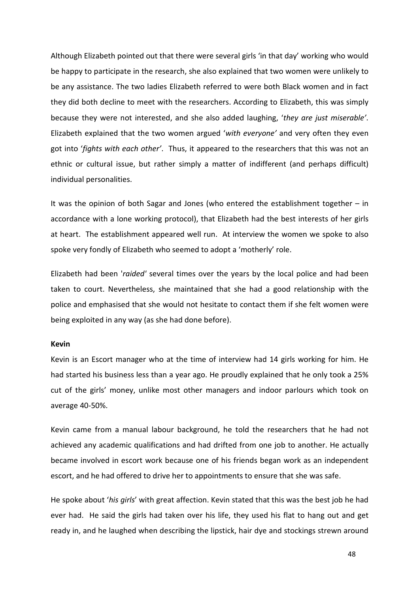Although Elizabeth pointed out that there were several girls 'in that day' working who would be happy to participate in the research, she also explained that two women were unlikely to be any assistance. The two ladies Elizabeth referred to were both Black women and in fact they did both decline to meet with the researchers. According to Elizabeth, this was simply because they were not interested, and she also added laughing, 'they are just miserable'. Elizabeth explained that the two women argued 'with everyone' and very often they even got into 'fights with each other'. Thus, it appeared to the researchers that this was not an ethnic or cultural issue, but rather simply a matter of indifferent (and perhaps difficult) individual personalities.

It was the opinion of both Sagar and Jones (who entered the establishment together – in accordance with a lone working protocol), that Elizabeth had the best interests of her girls at heart. The establishment appeared well run. At interview the women we spoke to also spoke very fondly of Elizabeth who seemed to adopt a 'motherly' role.

Elizabeth had been 'raided' several times over the years by the local police and had been taken to court. Nevertheless, she maintained that she had a good relationship with the police and emphasised that she would not hesitate to contact them if she felt women were being exploited in any way (as she had done before).

### Kevin

Kevin is an Escort manager who at the time of interview had 14 girls working for him. He had started his business less than a year ago. He proudly explained that he only took a 25% cut of the girls' money, unlike most other managers and indoor parlours which took on average 40-50%.

Kevin came from a manual labour background, he told the researchers that he had not achieved any academic qualifications and had drifted from one job to another. He actually became involved in escort work because one of his friends began work as an independent escort, and he had offered to drive her to appointments to ensure that she was safe.

He spoke about 'his girls' with great affection. Kevin stated that this was the best job he had ever had. He said the girls had taken over his life, they used his flat to hang out and get ready in, and he laughed when describing the lipstick, hair dye and stockings strewn around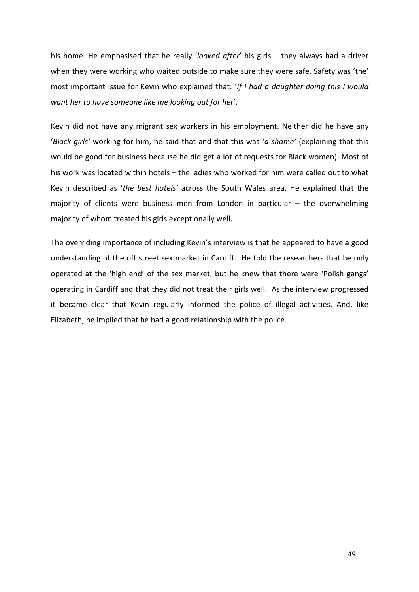his home. He emphasised that he really 'looked after' his girls - they always had a driver when they were working who waited outside to make sure they were safe. Safety was 'the' most important issue for Kevin who explained that: 'If I had a daughter doing this I would want her to have someone like me looking out for her'.

Kevin did not have any migrant sex workers in his employment. Neither did he have any 'Black girls' working for him, he said that and that this was 'a shame' (explaining that this would be good for business because he did get a lot of requests for Black women). Most of his work was located within hotels – the ladies who worked for him were called out to what Kevin described as 'the best hotels' across the South Wales area. He explained that the majority of clients were business men from London in particular  $-$  the overwhelming majority of whom treated his girls exceptionally well.

The overriding importance of including Kevin's interview is that he appeared to have a good understanding of the off street sex market in Cardiff. He told the researchers that he only operated at the 'high end' of the sex market, but he knew that there were 'Polish gangs' operating in Cardiff and that they did not treat their girls well. As the interview progressed it became clear that Kevin regularly informed the police of illegal activities. And, like Elizabeth, he implied that he had a good relationship with the police.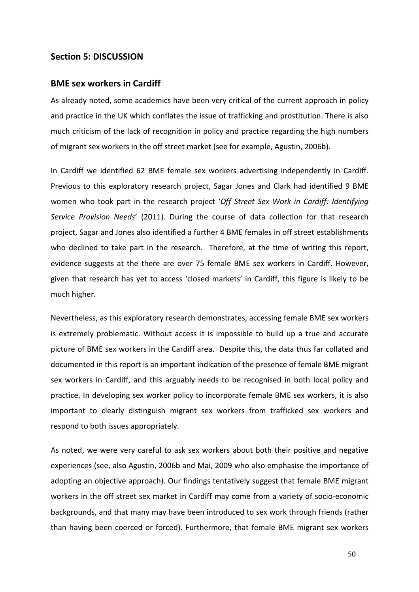## Section 5: DISCUSSION

### BME sex workers in Cardiff

As already noted, some academics have been very critical of the current approach in policy and practice in the UK which conflates the issue of trafficking and prostitution. There is also much criticism of the lack of recognition in policy and practice regarding the high numbers of migrant sex workers in the off street market (see for example, Agustin, 2006b).

In Cardiff we identified 62 BME female sex workers advertising independently in Cardiff. Previous to this exploratory research project, Sagar Jones and Clark had identified 9 BME women who took part in the research project 'Off Street Sex Work in Cardiff: Identifying Service Provision Needs' (2011). During the course of data collection for that research project, Sagar and Jones also identified a further 4 BME females in off street establishments who declined to take part in the research. Therefore, at the time of writing this report, evidence suggests at the there are over 75 female BME sex workers in Cardiff. However, given that research has yet to access 'closed markets' in Cardiff, this figure is likely to be much higher.

Nevertheless, as this exploratory research demonstrates, accessing female BME sex workers is extremely problematic. Without access it is impossible to build up a true and accurate picture of BME sex workers in the Cardiff area. Despite this, the data thus far collated and documented in this report is an important indication of the presence of female BME migrant sex workers in Cardiff, and this arguably needs to be recognised in both local policy and practice. In developing sex worker policy to incorporate female BME sex workers, it is also important to clearly distinguish migrant sex workers from trafficked sex workers and respond to both issues appropriately.

As noted, we were very careful to ask sex workers about both their positive and negative experiences (see, also Agustin, 2006b and Mai, 2009 who also emphasise the importance of adopting an objective approach). Our findings tentatively suggest that female BME migrant workers in the off street sex market in Cardiff may come from a variety of socio-economic backgrounds, and that many may have been introduced to sex work through friends (rather than having been coerced or forced). Furthermore, that female BME migrant sex workers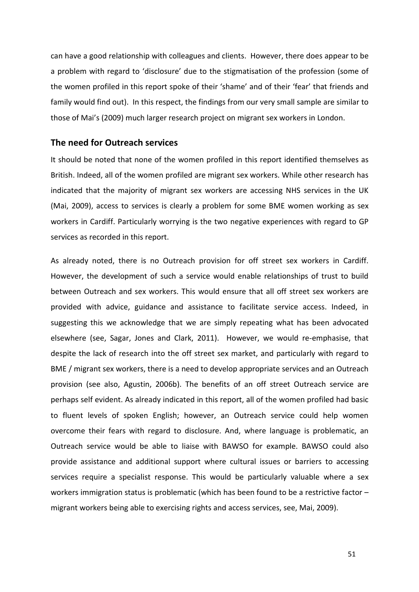can have a good relationship with colleagues and clients. However, there does appear to be a problem with regard to 'disclosure' due to the stigmatisation of the profession (some of the women profiled in this report spoke of their 'shame' and of their 'fear' that friends and family would find out). In this respect, the findings from our very small sample are similar to those of Mai's (2009) much larger research project on migrant sex workers in London.

### The need for Outreach services

It should be noted that none of the women profiled in this report identified themselves as British. Indeed, all of the women profiled are migrant sex workers. While other research has indicated that the majority of migrant sex workers are accessing NHS services in the UK (Mai, 2009), access to services is clearly a problem for some BME women working as sex workers in Cardiff. Particularly worrying is the two negative experiences with regard to GP services as recorded in this report.

As already noted, there is no Outreach provision for off street sex workers in Cardiff. However, the development of such a service would enable relationships of trust to build between Outreach and sex workers. This would ensure that all off street sex workers are provided with advice, guidance and assistance to facilitate service access. Indeed, in suggesting this we acknowledge that we are simply repeating what has been advocated elsewhere (see, Sagar, Jones and Clark, 2011). However, we would re-emphasise, that despite the lack of research into the off street sex market, and particularly with regard to BME / migrant sex workers, there is a need to develop appropriate services and an Outreach provision (see also, Agustin, 2006b). The benefits of an off street Outreach service are perhaps self evident. As already indicated in this report, all of the women profiled had basic to fluent levels of spoken English; however, an Outreach service could help women overcome their fears with regard to disclosure. And, where language is problematic, an Outreach service would be able to liaise with BAWSO for example. BAWSO could also provide assistance and additional support where cultural issues or barriers to accessing services require a specialist response. This would be particularly valuable where a sex workers immigration status is problematic (which has been found to be a restrictive factor – migrant workers being able to exercising rights and access services, see, Mai, 2009).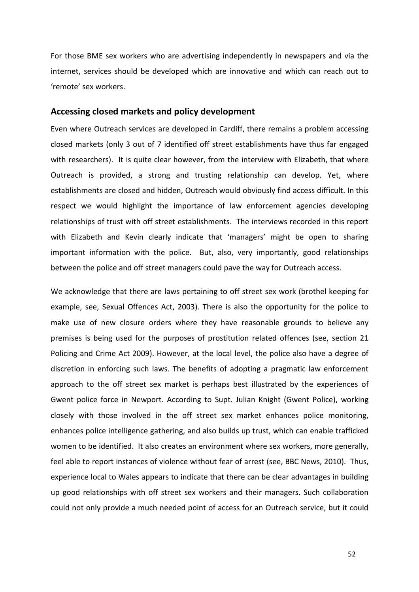For those BME sex workers who are advertising independently in newspapers and via the internet, services should be developed which are innovative and which can reach out to 'remote' sex workers.

### Accessing closed markets and policy development

Even where Outreach services are developed in Cardiff, there remains a problem accessing closed markets (only 3 out of 7 identified off street establishments have thus far engaged with researchers). It is quite clear however, from the interview with Elizabeth, that where Outreach is provided, a strong and trusting relationship can develop. Yet, where establishments are closed and hidden, Outreach would obviously find access difficult. In this respect we would highlight the importance of law enforcement agencies developing relationships of trust with off street establishments. The interviews recorded in this report with Elizabeth and Kevin clearly indicate that 'managers' might be open to sharing important information with the police. But, also, very importantly, good relationships between the police and off street managers could pave the way for Outreach access.

We acknowledge that there are laws pertaining to off street sex work (brothel keeping for example, see, Sexual Offences Act, 2003). There is also the opportunity for the police to make use of new closure orders where they have reasonable grounds to believe any premises is being used for the purposes of prostitution related offences (see, section 21 Policing and Crime Act 2009). However, at the local level, the police also have a degree of discretion in enforcing such laws. The benefits of adopting a pragmatic law enforcement approach to the off street sex market is perhaps best illustrated by the experiences of Gwent police force in Newport. According to Supt. Julian Knight (Gwent Police), working closely with those involved in the off street sex market enhances police monitoring, enhances police intelligence gathering, and also builds up trust, which can enable trafficked women to be identified. It also creates an environment where sex workers, more generally, feel able to report instances of violence without fear of arrest (see, BBC News, 2010). Thus, experience local to Wales appears to indicate that there can be clear advantages in building up good relationships with off street sex workers and their managers. Such collaboration could not only provide a much needed point of access for an Outreach service, but it could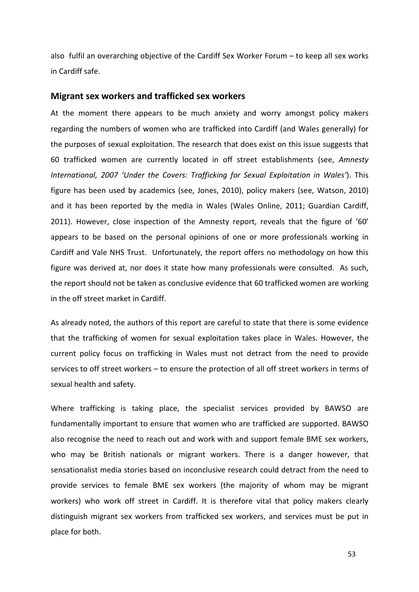also fulfil an overarching objective of the Cardiff Sex Worker Forum – to keep all sex works in Cardiff safe.

#### Migrant sex workers and trafficked sex workers

At the moment there appears to be much anxiety and worry amongst policy makers regarding the numbers of women who are trafficked into Cardiff (and Wales generally) for the purposes of sexual exploitation. The research that does exist on this issue suggests that 60 trafficked women are currently located in off street establishments (see, Amnesty International, 2007 'Under the Covers: Trafficking for Sexual Exploitation in Wales'). This figure has been used by academics (see, Jones, 2010), policy makers (see, Watson, 2010) and it has been reported by the media in Wales (Wales Online, 2011; Guardian Cardiff, 2011). However, close inspection of the Amnesty report, reveals that the figure of '60' appears to be based on the personal opinions of one or more professionals working in Cardiff and Vale NHS Trust. Unfortunately, the report offers no methodology on how this figure was derived at, nor does it state how many professionals were consulted. As such, the report should not be taken as conclusive evidence that 60 trafficked women are working in the off street market in Cardiff.

As already noted, the authors of this report are careful to state that there is some evidence that the trafficking of women for sexual exploitation takes place in Wales. However, the current policy focus on trafficking in Wales must not detract from the need to provide services to off street workers – to ensure the protection of all off street workers in terms of sexual health and safety.

Where trafficking is taking place, the specialist services provided by BAWSO are fundamentally important to ensure that women who are trafficked are supported. BAWSO also recognise the need to reach out and work with and support female BME sex workers, who may be British nationals or migrant workers. There is a danger however, that sensationalist media stories based on inconclusive research could detract from the need to provide services to female BME sex workers (the majority of whom may be migrant workers) who work off street in Cardiff. It is therefore vital that policy makers clearly distinguish migrant sex workers from trafficked sex workers, and services must be put in place for both.

53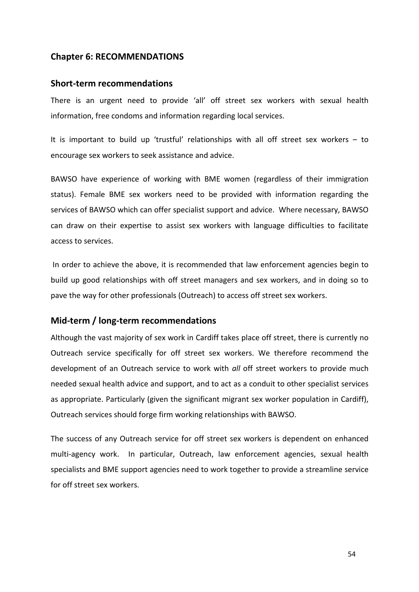## Chapter 6: RECOMMENDATIONS

### Short-term recommendations

There is an urgent need to provide 'all' off street sex workers with sexual health information, free condoms and information regarding local services.

It is important to build up 'trustful' relationships with all off street sex workers – to encourage sex workers to seek assistance and advice.

BAWSO have experience of working with BME women (regardless of their immigration status). Female BME sex workers need to be provided with information regarding the services of BAWSO which can offer specialist support and advice. Where necessary, BAWSO can draw on their expertise to assist sex workers with language difficulties to facilitate access to services.

 In order to achieve the above, it is recommended that law enforcement agencies begin to build up good relationships with off street managers and sex workers, and in doing so to pave the way for other professionals (Outreach) to access off street sex workers.

## Mid-term / long-term recommendations

Although the vast majority of sex work in Cardiff takes place off street, there is currently no Outreach service specifically for off street sex workers. We therefore recommend the development of an Outreach service to work with all off street workers to provide much needed sexual health advice and support, and to act as a conduit to other specialist services as appropriate. Particularly (given the significant migrant sex worker population in Cardiff), Outreach services should forge firm working relationships with BAWSO.

The success of any Outreach service for off street sex workers is dependent on enhanced multi-agency work. In particular, Outreach, law enforcement agencies, sexual health specialists and BME support agencies need to work together to provide a streamline service for off street sex workers.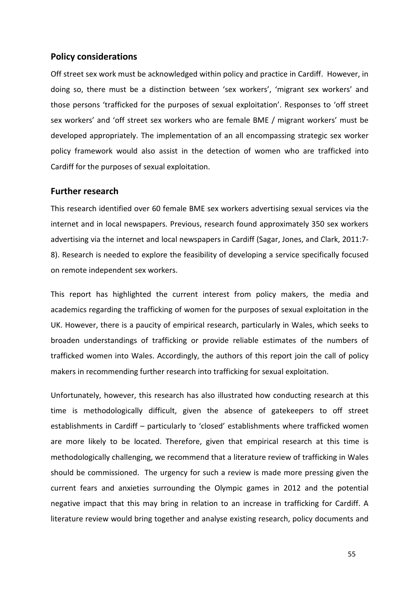## Policy considerations

Off street sex work must be acknowledged within policy and practice in Cardiff. However, in doing so, there must be a distinction between 'sex workers', 'migrant sex workers' and those persons 'trafficked for the purposes of sexual exploitation'. Responses to 'off street sex workers' and 'off street sex workers who are female BME / migrant workers' must be developed appropriately. The implementation of an all encompassing strategic sex worker policy framework would also assist in the detection of women who are trafficked into Cardiff for the purposes of sexual exploitation.

## Further research

This research identified over 60 female BME sex workers advertising sexual services via the internet and in local newspapers. Previous, research found approximately 350 sex workers advertising via the internet and local newspapers in Cardiff (Sagar, Jones, and Clark, 2011:7- 8). Research is needed to explore the feasibility of developing a service specifically focused on remote independent sex workers.

This report has highlighted the current interest from policy makers, the media and academics regarding the trafficking of women for the purposes of sexual exploitation in the UK. However, there is a paucity of empirical research, particularly in Wales, which seeks to broaden understandings of trafficking or provide reliable estimates of the numbers of trafficked women into Wales. Accordingly, the authors of this report join the call of policy makers in recommending further research into trafficking for sexual exploitation.

Unfortunately, however, this research has also illustrated how conducting research at this time is methodologically difficult, given the absence of gatekeepers to off street establishments in Cardiff – particularly to 'closed' establishments where trafficked women are more likely to be located. Therefore, given that empirical research at this time is methodologically challenging, we recommend that a literature review of trafficking in Wales should be commissioned. The urgency for such a review is made more pressing given the current fears and anxieties surrounding the Olympic games in 2012 and the potential negative impact that this may bring in relation to an increase in trafficking for Cardiff. A literature review would bring together and analyse existing research, policy documents and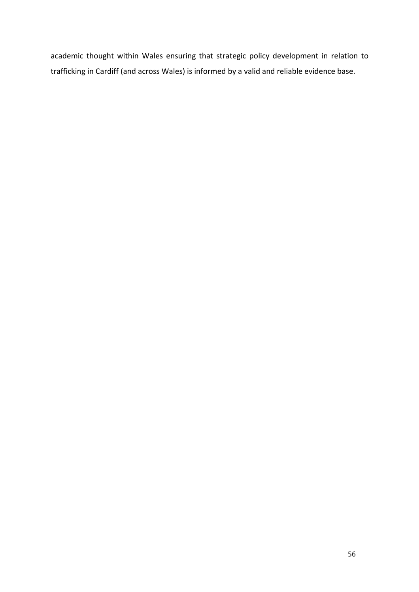academic thought within Wales ensuring that strategic policy development in relation to trafficking in Cardiff (and across Wales) is informed by a valid and reliable evidence base.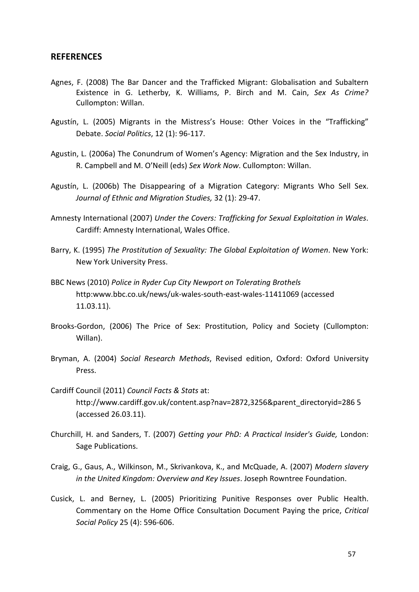### **REFERENCES**

- Agnes, F. (2008) The Bar Dancer and the Trafficked Migrant: Globalisation and Subaltern Existence in G. Letherby, K. Williams, P. Birch and M. Cain, Sex As Crime? Cullompton: Willan.
- Agustín, L. (2005) Migrants in the Mistress's House: Other Voices in the "Trafficking" Debate. Social Politics, 12 (1): 96-117.
- Agustin, L. (2006a) The Conundrum of Women's Agency: Migration and the Sex Industry, in R. Campbell and M. O'Neill (eds) Sex Work Now. Cullompton: Willan.
- Agustín, L. (2006b) The Disappearing of a Migration Category: Migrants Who Sell Sex. Journal of Ethnic and Migration Studies, 32 (1): 29-47.
- Amnesty International (2007) Under the Covers: Trafficking for Sexual Exploitation in Wales. Cardiff: Amnesty International, Wales Office.
- Barry, K. (1995) The Prostitution of Sexuality: The Global Exploitation of Women. New York: New York University Press.
- BBC News (2010) Police in Ryder Cup City Newport on Tolerating Brothels http:www.bbc.co.uk/news/uk-wales-south-east-wales-11411069 (accessed 11.03.11).
- Brooks-Gordon, (2006) The Price of Sex: Prostitution, Policy and Society (Cullompton: Willan).
- Bryman, A. (2004) Social Research Methods, Revised edition, Oxford: Oxford University Press.
- Cardiff Council (2011) Council Facts & Stats at: http://www.cardiff.gov.uk/content.asp?nav=2872,3256&parent\_directoryid=286 5 (accessed 26.03.11).
- Churchill, H. and Sanders, T. (2007) Getting your PhD: A Practical Insider's Guide, London: Sage Publications.
- Craig, G., Gaus, A., Wilkinson, M., Skrivankova, K., and McQuade, A. (2007) Modern slavery in the United Kingdom: Overview and Key Issues. Joseph Rowntree Foundation.
- Cusick, L. and Berney, L. (2005) Prioritizing Punitive Responses over Public Health. Commentary on the Home Office Consultation Document Paying the price, Critical Social Policy 25 (4): 596-606.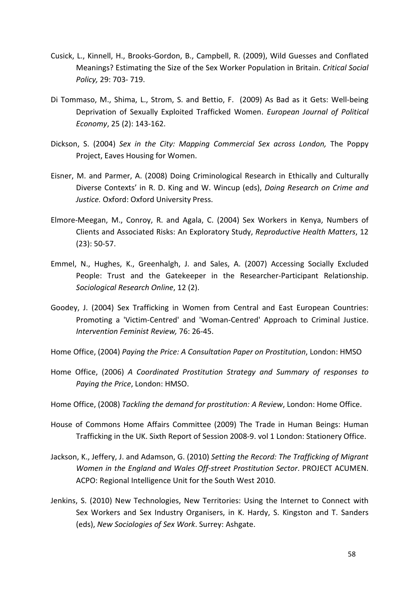- Cusick, L., Kinnell, H., Brooks-Gordon, B., Campbell, R. (2009), Wild Guesses and Conflated Meanings? Estimating the Size of the Sex Worker Population in Britain. Critical Social Policy, 29: 703- 719.
- Di Tommaso, M., Shima, L., Strom, S. and Bettio, F. (2009) As Bad as it Gets: Well-being Deprivation of Sexually Exploited Trafficked Women. European Journal of Political Economy, 25 (2): 143-162.
- Dickson, S. (2004) Sex in the City: Mapping Commercial Sex across London, The Poppy Project, Eaves Housing for Women.
- Eisner, M. and Parmer, A. (2008) Doing Criminological Research in Ethically and Culturally Diverse Contexts' in R. D. King and W. Wincup (eds), Doing Research on Crime and Justice. Oxford: Oxford University Press.
- Elmore-Meegan, M., Conroy, R. and Agala, C. (2004) Sex Workers in Kenya, Numbers of Clients and Associated Risks: An Exploratory Study, Reproductive Health Matters, 12 (23): 50-57.
- Emmel, N., Hughes, K., Greenhalgh, J. and Sales, A. (2007) Accessing Socially Excluded People: Trust and the Gatekeeper in the Researcher-Participant Relationship. Sociological Research Online, 12 (2).
- Goodey, J. (2004) Sex Trafficking in Women from Central and East European Countries: Promoting a 'Victim-Centred' and 'Woman-Centred' Approach to Criminal Justice. Intervention Feminist Review, 76: 26-45.
- Home Office, (2004) Paying the Price: A Consultation Paper on Prostitution, London: HMSO
- Home Office, (2006) A Coordinated Prostitution Strategy and Summary of responses to Paying the Price, London: HMSO.
- Home Office, (2008) Tackling the demand for prostitution: A Review, London: Home Office.
- House of Commons Home Affairs Committee (2009) The Trade in Human Beings: Human Trafficking in the UK. Sixth Report of Session 2008-9. vol 1 London: Stationery Office.
- Jackson, K., Jeffery, J. and Adamson, G. (2010) Setting the Record: The Trafficking of Migrant Women in the England and Wales Off-street Prostitution Sector. PROJECT ACUMEN. ACPO: Regional Intelligence Unit for the South West 2010.
- Jenkins, S. (2010) New Technologies, New Territories: Using the Internet to Connect with Sex Workers and Sex Industry Organisers, in K. Hardy, S. Kingston and T. Sanders (eds), New Sociologies of Sex Work. Surrey: Ashgate.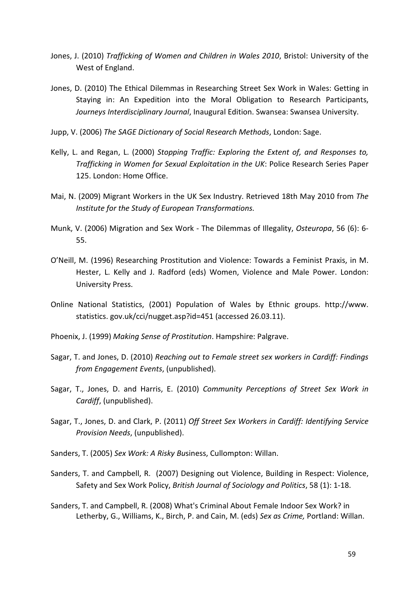- Jones, J. (2010) Trafficking of Women and Children in Wales 2010, Bristol: University of the West of England.
- Jones, D. (2010) The Ethical Dilemmas in Researching Street Sex Work in Wales: Getting in Staying in: An Expedition into the Moral Obligation to Research Participants, Journeys Interdisciplinary Journal, Inaugural Edition. Swansea: Swansea University.
- Jupp, V. (2006) The SAGE Dictionary of Social Research Methods, London: Sage.
- Kelly, L. and Regan, L. (2000) Stopping Traffic: Exploring the Extent of, and Responses to, Trafficking in Women for Sexual Exploitation in the UK: Police Research Series Paper 125. London: Home Office.
- Mai, N. (2009) Migrant Workers in the UK Sex Industry. Retrieved 18th May 2010 from The Institute for the Study of European Transformations.
- Munk, V. (2006) Migration and Sex Work The Dilemmas of Illegality, Osteuropa, 56 (6): 6- 55.
- O'Neill, M. (1996) Researching Prostitution and Violence: Towards a Feminist Praxis, in M. Hester, L. Kelly and J. Radford (eds) Women, Violence and Male Power. London: University Press.
- Online National Statistics, (2001) Population of Wales by Ethnic groups. http://www. statistics. gov.uk/cci/nugget.asp?id=451 (accessed 26.03.11).
- Phoenix, J. (1999) Making Sense of Prostitution. Hampshire: Palgrave.
- Sagar, T. and Jones, D. (2010) Reaching out to Female street sex workers in Cardiff: Findings from Engagement Events, (unpublished).
- Sagar, T., Jones, D. and Harris, E. (2010) Community Perceptions of Street Sex Work in Cardiff, (unpublished).
- Sagar, T., Jones, D. and Clark, P. (2011) Off Street Sex Workers in Cardiff: Identifying Service Provision Needs, (unpublished).
- Sanders, T. (2005) Sex Work: A Risky Business, Cullompton: Willan.
- Sanders, T. and Campbell, R. (2007) Designing out Violence, Building in Respect: Violence, Safety and Sex Work Policy, British Journal of Sociology and Politics, 58 (1): 1-18.
- Sanders, T. and Campbell, R. (2008) What's Criminal About Female Indoor Sex Work? in Letherby, G., Williams, K., Birch, P. and Cain, M. (eds) Sex as Crime, Portland: Willan.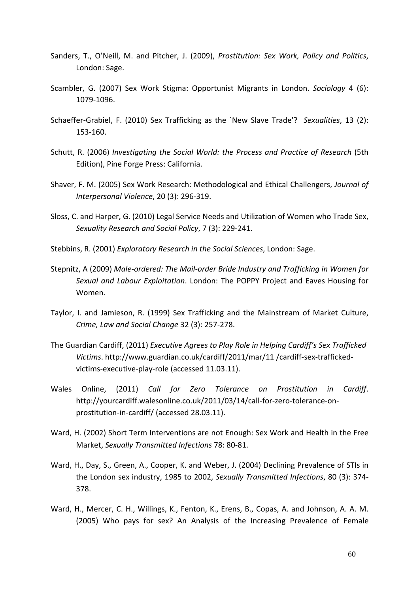- Sanders, T., O'Neill, M. and Pitcher, J. (2009), Prostitution: Sex Work, Policy and Politics, London: Sage.
- Scambler, G. (2007) Sex Work Stigma: Opportunist Migrants in London. Sociology 4 (6): 1079-1096.
- Schaeffer-Grabiel, F. (2010) Sex Trafficking as the `New Slave Trade'? Sexualities, 13 (2): 153-160.
- Schutt, R. (2006) Investigating the Social World: the Process and Practice of Research (5th Edition), Pine Forge Press: California.
- Shaver, F. M. (2005) Sex Work Research: Methodological and Ethical Challengers, Journal of Interpersonal Violence, 20 (3): 296-319.
- Sloss, C. and Harper, G. (2010) Legal Service Needs and Utilization of Women who Trade Sex, Sexuality Research and Social Policy, 7 (3): 229-241.
- Stebbins, R. (2001) Exploratory Research in the Social Sciences, London: Sage.
- Stepnitz, A (2009) Male-ordered: The Mail-order Bride Industry and Trafficking in Women for Sexual and Labour Exploitation. London: The POPPY Project and Eaves Housing for Women.
- Taylor, I. and Jamieson, R. (1999) Sex Trafficking and the Mainstream of Market Culture, Crime, Law and Social Change 32 (3): 257-278.
- The Guardian Cardiff, (2011) Executive Agrees to Play Role in Helping Cardiff's Sex Trafficked Victims. http://www.guardian.co.uk/cardiff/2011/mar/11 /cardiff-sex-traffickedvictims-executive-play-role (accessed 11.03.11).
- Wales Online, (2011) Call for Zero Tolerance on Prostitution in Cardiff. http://yourcardiff.walesonline.co.uk/2011/03/14/call-for-zero-tolerance-onprostitution-in-cardiff/ (accessed 28.03.11).
- Ward, H. (2002) Short Term Interventions are not Enough: Sex Work and Health in the Free Market, Sexually Transmitted Infections 78: 80-81.
- Ward, H., Day, S., Green, A., Cooper, K. and Weber, J. (2004) Declining Prevalence of STIs in the London sex industry, 1985 to 2002, Sexually Transmitted Infections, 80 (3): 374- 378.
- Ward, H., Mercer, C. H., Willings, K., Fenton, K., Erens, B., Copas, A. and Johnson, A. A. M. (2005) Who pays for sex? An Analysis of the Increasing Prevalence of Female